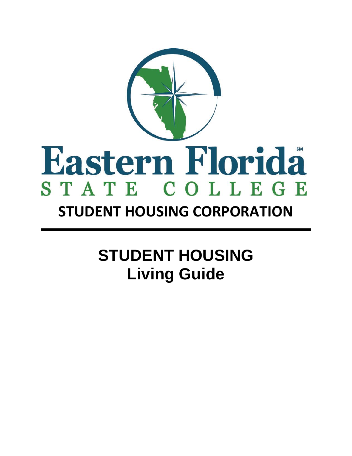

# **STUDENT HOUSING CORPORATION**

# **STUDENT HOUSING Living Guide**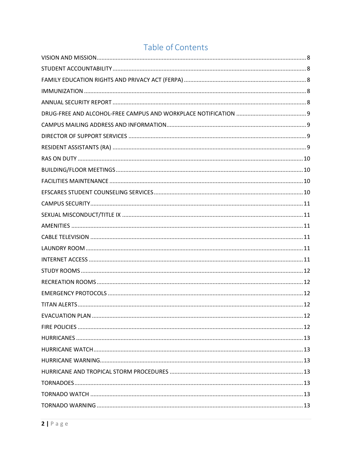# Table of Contents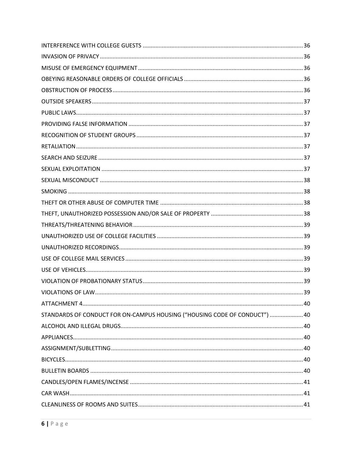| STANDARDS OF CONDUCT FOR ON-CAMPUS HOUSING ("HOUSING CODE OF CONDUCT")  40 |  |
|----------------------------------------------------------------------------|--|
|                                                                            |  |
|                                                                            |  |
|                                                                            |  |
|                                                                            |  |
|                                                                            |  |
|                                                                            |  |
|                                                                            |  |
|                                                                            |  |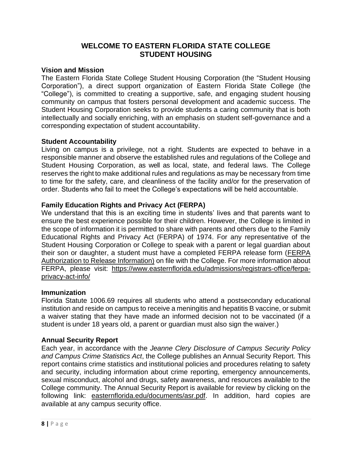# **WELCOME TO EASTERN FLORIDA STATE COLLEGE STUDENT HOUSING**

#### <span id="page-7-0"></span>**Vision and Mission**

The Eastern Florida State College Student Housing Corporation (the "Student Housing Corporation"), a direct support organization of Eastern Florida State College (the "College"), is committed to creating a supportive, safe, and engaging student housing community on campus that fosters personal development and academic success. The Student Housing Corporation seeks to provide students a caring community that is both intellectually and socially enriching, with an emphasis on student self-governance and a corresponding expectation of student accountability.

#### <span id="page-7-1"></span>**Student Accountability**

Living on campus is a privilege, not a right. Students are expected to behave in a responsible manner and observe the established rules and regulations of the College and Student Housing Corporation, as well as local, state, and federal laws. The College reserves the right to make additional rules and regulations as may be necessary from time to time for the safety, care, and cleanliness of the facility and/or for the preservation of order. Students who fail to meet the College's expectations will be held accountable.

# <span id="page-7-2"></span>**Family Education Rights and Privacy Act (FERPA)**

We understand that this is an exciting time in students' lives and that parents want to ensure the best experience possible for their children. However, the College is limited in the scope of information it is permitted to share with parents and others due to the Family Educational Rights and Privacy Act (FERPA) of 1974. For any representative of the Student Housing Corporation or College to speak with a parent or legal guardian about their son or daughter, a student must have a completed FERPA release form [\(FERPA](https://www.easternflorida.edu/admissions/documents/release-ed-record.pdf)  [Authorization to Release Information\)](https://www.easternflorida.edu/admissions/documents/release-ed-record.pdf) on file with the College. For more information about FERPA, please visit: [https://www.easternflorida.edu/admissions/registrars-office/ferpa](https://www.easternflorida.edu/admissions/registrars-office/ferpa-privacy-act-info/)[privacy-act-info/](https://www.easternflorida.edu/admissions/registrars-office/ferpa-privacy-act-info/)

#### <span id="page-7-3"></span>**Immunization**

Florida Statute 1006.69 requires all students who attend a postsecondary educational institution and reside on campus to receive a meningitis and hepatitis B vaccine, or submit a waiver stating that they have made an informed decision not to be vaccinated (if a student is under 18 years old, a parent or guardian must also sign the waiver.)

#### <span id="page-7-4"></span>**Annual Security Report**

Each year, in accordance with the *Jeanne Clery Disclosure of Campus Security Policy and Campus Crime Statistics Act*, the College publishes an Annual Security Report. This report contains crime statistics and institutional policies and procedures relating to safety and security, including information about crime reporting, emergency announcements, sexual misconduct, alcohol and drugs, safety awareness, and resources available to the College community. The Annual Security Report is available for review by clicking on the following link: [easternflorida.edu/documents/asr.pdf.](http://www.easternflorida.edu/documents/asr.pdf) In addition, hard copies are available at any campus security office.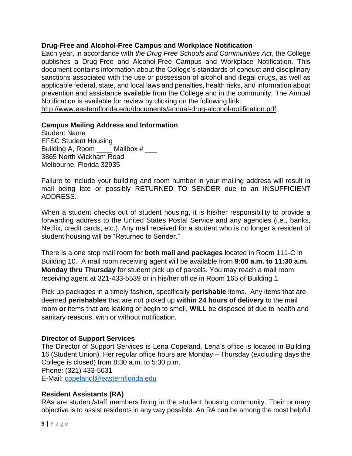#### <span id="page-8-0"></span>**Drug-Free and Alcohol-Free Campus and Workplace Notification**

Each year, in accordance with *the Drug Free Schools and Communities Act*, the College publishes a Drug-Free and Alcohol-Free Campus and Workplace Notification. This document contains information about the College's standards of conduct and disciplinary sanctions associated with the use or possession of alcohol and illegal drugs, as well as applicable federal, state, and local laws and penalties, health risks, and information about prevention and assistance available from the College and in the community. The Annual Notification is available for review by clicking on the following link: <http://www.easternflorida.edu/documents/annual-drug-alcohol-notification.pdf>

# <span id="page-8-1"></span>**Campus Mailing Address and Information**

Student Name EFSC Student Housing Building A, Room \_\_\_\_\_ Mailbox # \_\_\_ 3865 North Wickham Road Melbourne, Florida 32935

Failure to include your building and room number in your mailing address will result in mail being late or possibly RETURNED TO SENDER due to an INSUFFICIENT ADDRESS.

When a student checks out of student housing, it is his/her responsibility to provide a forwarding address to the United States Postal Service and any agencies (i.e., banks, Netflix, credit cards, etc.). Any mail received for a student who is no longer a resident of student housing will be "Returned to Sender."

There is a one stop mail room for **both mail and packages** located in Room 111-C in Building 10. A mail room receiving agent will be available from **9:00 a.m. to 11:30 a.m. Monday thru Thursday** for student pick up of parcels. You may reach a mail room receiving agent at 321-433-5539 or in his/her office in Room 165 of Building 1.

Pick up packages in a timely fashion, specifically **perishable** items. Any items that are deemed **perishables** that are not picked up **within 24 hours of delivery** to the mail room **or** items that are leaking or begin to smell, **WILL** be disposed of due to health and sanitary reasons, with or without notification.

#### <span id="page-8-2"></span>**Director of Support Services**

The Director of Support Services is Lena Copeland. Lena's office is located in Building 16 (Student Union). Her regular office hours are Monday – Thursday (excluding days the College is closed) from 8:30 a.m. to 5:30 p.m. Phone: (321) 433-5631 E-Mail: [copelandl@easternflorida.edu](mailto:copelandl@easternflorida.edu)

#### <span id="page-8-3"></span>**Resident Assistants (RA)**

RAs are student/staff members living in the student housing community. Their primary objective is to assist residents in any way possible. An RA can be among the most helpful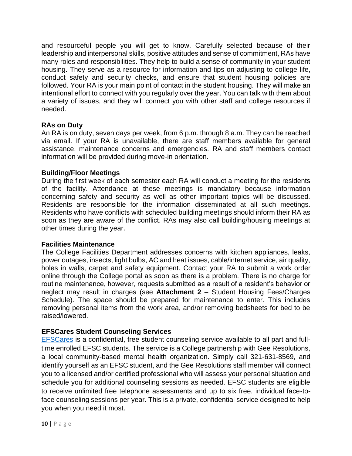and resourceful people you will get to know. Carefully selected because of their leadership and interpersonal skills, positive attitudes and sense of commitment, RAs have many roles and responsibilities. They help to build a sense of community in your student housing. They serve as a resource for information and tips on adjusting to college life, conduct safety and security checks, and ensure that student housing policies are followed. Your RA is your main point of contact in the student housing. They will make an intentional effort to connect with you regularly over the year. You can talk with them about a variety of issues, and they will connect you with other staff and college resources if needed.

# <span id="page-9-0"></span>**RAs on Duty**

An RA is on duty, seven days per week, from 6 p.m. through 8 a.m. They can be reached via email. If your RA is unavailable, there are staff members available for general assistance, maintenance concerns and emergencies. RA and staff members contact information will be provided during move-in orientation.

#### <span id="page-9-1"></span>**Building/Floor Meetings**

During the first week of each semester each RA will conduct a meeting for the residents of the facility. Attendance at these meetings is mandatory because information concerning safety and security as well as other important topics will be discussed. Residents are responsible for the information disseminated at all such meetings. Residents who have conflicts with scheduled building meetings should inform their RA as soon as they are aware of the conflict. RAs may also call building/housing meetings at other times during the year.

#### <span id="page-9-2"></span>**Facilities Maintenance**

The College Facilities Department addresses concerns with kitchen appliances, leaks, power outages, insects, light bulbs, AC and heat issues, cable/internet service, air quality, holes in walls, carpet and safety equipment. Contact your RA to submit a work order online through the College portal as soon as there is a problem. There is no charge for routine maintenance, however, requests submitted as a result of a resident's behavior or neglect may result in charges (see **Attachment 2** – Student Housing Fees/Charges Schedule). The space should be prepared for maintenance to enter. This includes removing personal items from the work area, and/or removing bedsheets for bed to be raised/lowered.

# <span id="page-9-3"></span>**EFSCares Student Counseling Services**

[EFSCares](http://www.easternflorida.edu/student-life/counseling-efscares/) is a confidential, free student counseling service available to all part and fulltime enrolled EFSC students. The service is a College partnership with Gee Resolutions, a local community-based mental health organization. Simply call 321-631-8569, and identify yourself as an EFSC student, and the Gee Resolutions staff member will connect you to a licensed and/or certified professional who will assess your personal situation and schedule you for additional counseling sessions as needed. EFSC students are eligible to receive unlimited free telephone assessments and up to six free, individual face-toface counseling sessions per year. This is a private, confidential service designed to help you when you need it most.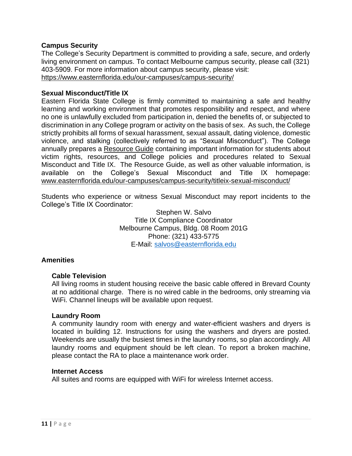#### <span id="page-10-0"></span>**Campus Security**

The College's Security Department is committed to providing a safe, secure, and orderly living environment on campus. To contact Melbourne campus security, please call (321) 403-5909. For more information about campus security, please visit: <https://www.easternflorida.edu/our-campuses/campus-security/>

#### <span id="page-10-1"></span>**Sexual Misconduct/Title IX**

Eastern Florida State College is firmly committed to maintaining a safe and healthy learning and working environment that promotes responsibility and respect, and where no one is unlawfully excluded from participation in, denied the benefits of, or subjected to discrimination in any College program or activity on the basis of sex. As such, the College strictly prohibits all forms of sexual harassment, sexual assault, dating violence, domestic violence, and stalking (collectively referred to as "Sexual Misconduct"). The College annually prepares a [Resource Guide](http://www.easternflorida.edu/our-campuses/campus-security/documents/efsc-sexual-misconduct-guide.pdf) containing important information for students about victim rights, resources, and College policies and procedures related to Sexual Misconduct and Title IX. The Resource Guide, as well as other valuable information, is available on the College's Sexual Misconduct and Title IX homepage: [www.easternflorida.edu/our-campuses/campus-security/titleix-sexual-misconduct/](http://www.easternflorida.edu/our-campuses/campus-security/titleix-sexual-misconduct/)

Students who experience or witness Sexual Misconduct may report incidents to the College's Title IX Coordinator:

> Stephen W. Salvo Title IX Compliance Coordinator Melbourne Campus, Bldg. 08 Room 201G Phone: (321) 433-5775 E-Mail: [salvos@easternflorida.edu](mailto:salvos@easternflorida.edu)

#### <span id="page-10-2"></span>**Amenities**

#### <span id="page-10-3"></span>**Cable Television**

All living rooms in student housing receive the basic cable offered in Brevard County at no additional charge. There is no wired cable in the bedrooms, only streaming via WiFi. Channel lineups will be available upon request.

#### <span id="page-10-4"></span>**Laundry Room**

A community laundry room with energy and water-efficient washers and dryers is located in building 12. Instructions for using the washers and dryers are posted. Weekends are usually the busiest times in the laundry rooms, so plan accordingly. All laundry rooms and equipment should be left clean. To report a broken machine, please contact the RA to place a maintenance work order.

#### <span id="page-10-5"></span>**Internet Access**

All suites and rooms are equipped with WiFi for wireless Internet access.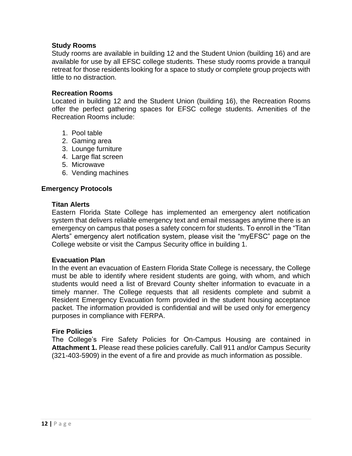#### <span id="page-11-0"></span>**Study Rooms**

Study rooms are available in building 12 and the Student Union (building 16) and are available for use by all EFSC college students. These study rooms provide a tranquil retreat for those residents looking for a space to study or complete group projects with little to no distraction.

#### <span id="page-11-1"></span>**Recreation Rooms**

Located in building 12 and the Student Union (building 16), the Recreation Rooms offer the perfect gathering spaces for EFSC college students. Amenities of the Recreation Rooms include:

- 1. Pool table
- 2. Gaming area
- 3. Lounge furniture
- 4. Large flat screen
- 5. Microwave
- 6. Vending machines

#### <span id="page-11-2"></span>**Emergency Protocols**

#### <span id="page-11-3"></span>**Titan Alerts**

Eastern Florida State College has implemented an emergency alert notification system that delivers reliable emergency text and email messages anytime there is an emergency on campus that poses a safety concern for students. To enroll in the "Titan Alerts" emergency alert notification system, please visit the "myEFSC" page on the College website or visit the Campus Security office in building 1.

#### <span id="page-11-4"></span>**Evacuation Plan**

In the event an evacuation of Eastern Florida State College is necessary, the College must be able to identify where resident students are going, with whom, and which students would need a list of Brevard County shelter information to evacuate in a timely manner. The College requests that all residents complete and submit a Resident Emergency Evacuation form provided in the student housing acceptance packet. The information provided is confidential and will be used only for emergency purposes in compliance with FERPA.

#### <span id="page-11-5"></span>**Fire Policies**

The College's Fire Safety Policies for On-Campus Housing are contained in **Attachment 1.** Please read these policies carefully. Call 911 and/or Campus Security (321-403-5909) in the event of a fire and provide as much information as possible.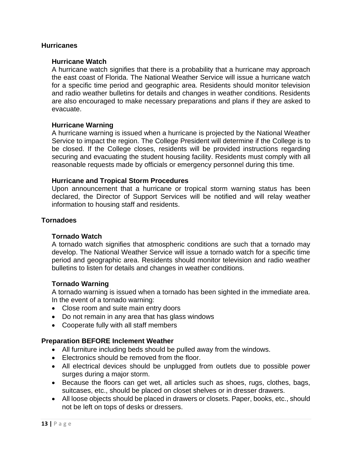#### <span id="page-12-0"></span>**Hurricanes**

#### <span id="page-12-1"></span>**Hurricane Watch**

A hurricane watch signifies that there is a probability that a hurricane may approach the east coast of Florida. The National Weather Service will issue a hurricane watch for a specific time period and geographic area. Residents should monitor television and radio weather bulletins for details and changes in weather conditions. Residents are also encouraged to make necessary preparations and plans if they are asked to evacuate.

#### <span id="page-12-2"></span>**Hurricane Warning**

A hurricane warning is issued when a hurricane is projected by the National Weather Service to impact the region. The College President will determine if the College is to be closed. If the College closes, residents will be provided instructions regarding securing and evacuating the student housing facility. Residents must comply with all reasonable requests made by officials or emergency personnel during this time.

#### <span id="page-12-3"></span>**Hurricane and Tropical Storm Procedures**

Upon announcement that a hurricane or tropical storm warning status has been declared, the Director of Support Services will be notified and will relay weather information to housing staff and residents.

#### <span id="page-12-4"></span>**Tornadoes**

#### <span id="page-12-5"></span>**Tornado Watch**

A tornado watch signifies that atmospheric conditions are such that a tornado may develop. The National Weather Service will issue a tornado watch for a specific time period and geographic area. Residents should monitor television and radio weather bulletins to listen for details and changes in weather conditions.

#### <span id="page-12-6"></span>**Tornado Warning**

A tornado warning is issued when a tornado has been sighted in the immediate area. In the event of a tornado warning:

- Close room and suite main entry doors
- Do not remain in any area that has glass windows
- Cooperate fully with all staff members

#### <span id="page-12-7"></span>**Preparation BEFORE Inclement Weather**

- All furniture including beds should be pulled away from the windows.
- Electronics should be removed from the floor.
- All electrical devices should be unplugged from outlets due to possible power surges during a major storm.
- Because the floors can get wet, all articles such as shoes, rugs, clothes, bags, suitcases, etc., should be placed on closet shelves or in dresser drawers.
- All loose objects should be placed in drawers or closets. Paper, books, etc., should not be left on tops of desks or dressers.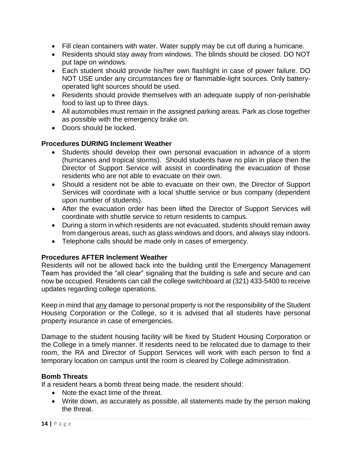- Fill clean containers with water. Water supply may be cut off during a hurricane.
- Residents should stay away from windows. The blinds should be closed. DO NOT put tape on windows.
- Each student should provide his/her own flashlight in case of power failure. DO NOT USE under any circumstances fire or flammable-light sources. Only batteryoperated light sources should be used.
- Residents should provide themselves with an adequate supply of non-perishable food to last up to three days.
- All automobiles must remain in the assigned parking areas. Park as close together as possible with the emergency brake on.
- Doors should be locked.

# <span id="page-13-0"></span>**Procedures DURING Inclement Weather**

- Students should develop their own personal evacuation in advance of a storm (hurricanes and tropical storms). Should students have no plan in place then the Director of Support Service will assist in coordinating the evacuation of those residents who are not able to evacuate on their own.
- Should a resident not be able to evacuate on their own, the Director of Support Services will coordinate with a local shuttle service or bus company (dependent upon number of students).
- After the evacuation order has been lifted the Director of Support Services will coordinate with shuttle service to return residents to campus.
- During a storm in which residents are not evacuated, students should remain away from dangerous areas, such as glass windows and doors, and always stay indoors.
- Telephone calls should be made only in cases of emergency.

#### <span id="page-13-1"></span>**Procedures AFTER Inclement Weather**

Residents will not be allowed back into the building until the Emergency Management Team has provided the "all clear" signaling that the building is safe and secure and can now be occupied. Residents can call the college switchboard at (321) 433-5400 to receive updates regarding college operations.

Keep in mind that any damage to personal property is not the responsibility of the Student Housing Corporation or the College, so it is advised that all students have personal property insurance in case of emergencies.

Damage to the student housing facility will be fixed by Student Housing Corporation or the College in a timely manner. If residents need to be relocated due to damage to their room, the RA and Director of Support Services will work with each person to find a temporary location on campus until the room is cleared by College administration.

#### <span id="page-13-2"></span>**Bomb Threats**

If a resident hears a bomb threat being made, the resident should:

- Note the exact time of the threat.
- Write down, as accurately as possible, all statements made by the person making the threat.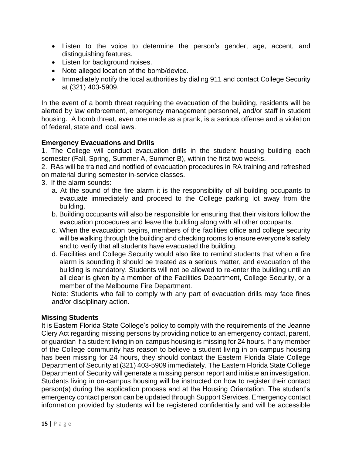- Listen to the voice to determine the person's gender, age, accent, and distinguishing features.
- Listen for background noises.
- Note alleged location of the bomb/device.
- Immediately notify the local authorities by dialing 911 and contact College Security at (321) 403-5909.

In the event of a bomb threat requiring the evacuation of the building, residents will be alerted by law enforcement, emergency management personnel, and/or staff in student housing. A bomb threat, even one made as a prank, is a serious offense and a violation of federal, state and local laws.

#### <span id="page-14-0"></span>**Emergency Evacuations and Drills**

1. The College will conduct evacuation drills in the student housing building each semester (Fall, Spring, Summer A, Summer B), within the first two weeks.

2. RAs will be trained and notified of evacuation procedures in RA training and refreshed on material during semester in-service classes.

- 3. If the alarm sounds:
	- a. At the sound of the fire alarm it is the responsibility of all building occupants to evacuate immediately and proceed to the College parking lot away from the building.
	- b. Building occupants will also be responsible for ensuring that their visitors follow the evacuation procedures and leave the building along with all other occupants.
	- c. When the evacuation begins, members of the facilities office and college security will be walking through the building and checking rooms to ensure everyone's safety and to verify that all students have evacuated the building.
	- d. Facilities and College Security would also like to remind students that when a fire alarm is sounding it should be treated as a serious matter, and evacuation of the building is mandatory. Students will not be allowed to re-enter the building until an all clear is given by a member of the Facilities Department, College Security, or a member of the Melbourne Fire Department.

Note: Students who fail to comply with any part of evacuation drills may face fines and/or disciplinary action.

#### <span id="page-14-1"></span>**Missing Students**

It is Eastern Florida State College's policy to comply with the requirements of the Jeanne Clery Act regarding missing persons by providing notice to an emergency contact, parent, or guardian if a student living in on-campus housing is missing for 24 hours. If any member of the College community has reason to believe a student living in on-campus housing has been missing for 24 hours, they should contact the Eastern Florida State College Department of Security at (321) 403-5909 immediately. The Eastern Florida State College Department of Security will generate a missing person report and initiate an investigation. Students living in on-campus housing will be instructed on how to register their contact person(s) during the application process and at the Housing Orientation. The student's emergency contact person can be updated through Support Services. Emergency contact information provided by students will be registered confidentially and will be accessible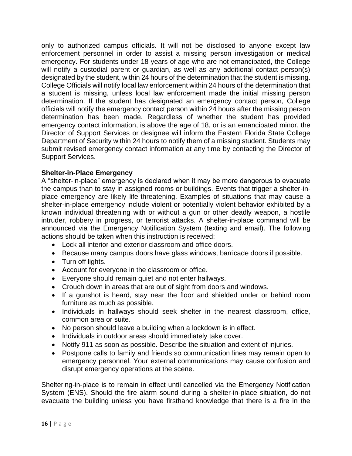only to authorized campus officials. It will not be disclosed to anyone except law enforcement personnel in order to assist a missing person investigation or medical emergency. For students under 18 years of age who are not emancipated, the College will notify a custodial parent or guardian, as well as any additional contact person(s) designated by the student, within 24 hours of the determination that the student is missing. College Officials will notify local law enforcement within 24 hours of the determination that a student is missing, unless local law enforcement made the initial missing person determination. If the student has designated an emergency contact person, College officials will notify the emergency contact person within 24 hours after the missing person determination has been made. Regardless of whether the student has provided emergency contact information, is above the age of 18, or is an emancipated minor, the Director of Support Services or designee will inform the Eastern Florida State College Department of Security within 24 hours to notify them of a missing student. Students may submit revised emergency contact information at any time by contacting the Director of Support Services.

# <span id="page-15-0"></span>**Shelter-in-Place Emergency**

A "shelter-in-place" emergency is declared when it may be more dangerous to evacuate the campus than to stay in assigned rooms or buildings. Events that trigger a shelter-inplace emergency are likely life-threatening. Examples of situations that may cause a shelter-in-place emergency include violent or potentially violent behavior exhibited by a known individual threatening with or without a gun or other deadly weapon, a hostile intruder, robbery in progress, or terrorist attacks. A shelter-in-place command will be announced via the Emergency Notification System (texting and email). The following actions should be taken when this instruction is received:

- Lock all interior and exterior classroom and office doors.
- Because many campus doors have glass windows, barricade doors if possible.
- Turn off lights.
- Account for everyone in the classroom or office.
- Everyone should remain quiet and not enter hallways.
- Crouch down in areas that are out of sight from doors and windows.
- If a gunshot is heard, stay near the floor and shielded under or behind room furniture as much as possible.
- Individuals in hallways should seek shelter in the nearest classroom, office, common area or suite.
- No person should leave a building when a lockdown is in effect.
- Individuals in outdoor areas should immediately take cover.
- Notify 911 as soon as possible. Describe the situation and extent of injuries.
- Postpone calls to family and friends so communication lines may remain open to emergency personnel. Your external communications may cause confusion and disrupt emergency operations at the scene.

Sheltering-in-place is to remain in effect until cancelled via the Emergency Notification System (ENS). Should the fire alarm sound during a shelter-in-place situation, do not evacuate the building unless you have firsthand knowledge that there is a fire in the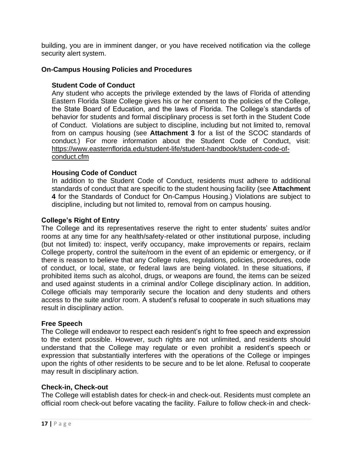building, you are in imminent danger, or you have received notification via the college security alert system.

#### <span id="page-16-0"></span>**On-Campus Housing Policies and Procedures**

#### <span id="page-16-1"></span>**Student Code of Conduct**

Any student who accepts the privilege extended by the laws of Florida of attending Eastern Florida State College gives his or her consent to the policies of the College, the State Board of Education, and the laws of Florida. The College's standards of behavior for students and formal disciplinary process is set forth in the Student Code of Conduct. Violations are subject to discipline, including but not limited to, removal from on campus housing (see **Attachment 3** for a list of the SCOC standards of conduct.) For more information about the Student Code of Conduct, visit: [https://www.easternflorida.edu/student-life/student-handbook/student-code-of](https://www.easternflorida.edu/student-life/student-handbook/student-code-of-conduct.cfm)[conduct.cfm](https://www.easternflorida.edu/student-life/student-handbook/student-code-of-conduct.cfm)

#### <span id="page-16-2"></span>**Housing Code of Conduct**

In addition to the Student Code of Conduct, residents must adhere to additional standards of conduct that are specific to the student housing facility (see **Attachment 4** for the Standards of Conduct for On-Campus Housing.) Violations are subject to discipline, including but not limited to, removal from on campus housing.

#### <span id="page-16-3"></span>**College's Right of Entry**

The College and its representatives reserve the right to enter students' suites and/or rooms at any time for any health/safety-related or other institutional purpose, including (but not limited) to: inspect, verify occupancy, make improvements or repairs, reclaim College property, control the suite/room in the event of an epidemic or emergency, or if there is reason to believe that any College rules, regulations, policies, procedures, code of conduct, or local, state, or federal laws are being violated. In these situations, if prohibited items such as alcohol, drugs, or weapons are found, the items can be seized and used against students in a criminal and/or College disciplinary action. In addition, College officials may temporarily secure the location and deny students and others access to the suite and/or room. A student's refusal to cooperate in such situations may result in disciplinary action.

#### <span id="page-16-4"></span>**Free Speech**

The College will endeavor to respect each resident's right to free speech and expression to the extent possible. However, such rights are not unlimited, and residents should understand that the College may regulate or even prohibit a resident's speech or expression that substantially interferes with the operations of the College or impinges upon the rights of other residents to be secure and to be let alone. Refusal to cooperate may result in disciplinary action.

#### <span id="page-16-5"></span>**Check-in, Check-out**

The College will establish dates for check-in and check-out. Residents must complete an official room check-out before vacating the facility. Failure to follow check-in and check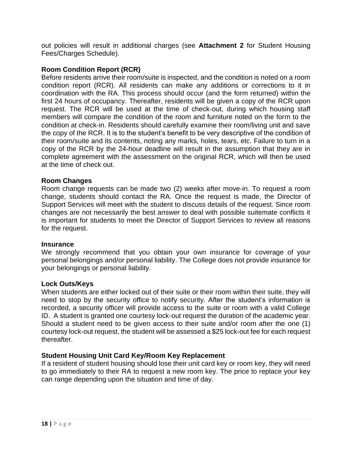out policies will result in additional charges (see **Attachment 2** for Student Housing Fees/Charges Schedule).

#### <span id="page-17-0"></span>**Room Condition Report (RCR)**

Before residents arrive their room/suite is inspected, and the condition is noted on a room condition report (RCR). All residents can make any additions or corrections to it in coordination with the RA. This process should occur (and the form returned) within the first 24 hours of occupancy. Thereafter, residents will be given a copy of the RCR upon request. The RCR will be used at the time of check-out, during which housing staff members will compare the condition of the room and furniture noted on the form to the condition at check-in. Residents should carefully examine their room/living unit and save the copy of the RCR. It is to the student's benefit to be very descriptive of the condition of their room/suite and its contents, noting any marks, holes, tears, etc. Failure to turn in a copy of the RCR by the 24-hour deadline will result in the assumption that they are in complete agreement with the assessment on the original RCR, which will then be used at the time of check out.

#### <span id="page-17-1"></span>**Room Changes**

Room change requests can be made two (2) weeks after move-in. To request a room change, students should contact the RA. Once the request is made, the Director of Support Services will meet with the student to discuss details of the request. Since room changes are not necessarily the best answer to deal with possible suitemate conflicts it is important for students to meet the Director of Support Services to review all reasons for the request.

#### <span id="page-17-2"></span>**Insurance**

We strongly recommend that you obtain your own insurance for coverage of your personal belongings and/or personal liability. The College does not provide insurance for your belongings or personal liability.

#### <span id="page-17-3"></span>**Lock Outs/Keys**

When students are either locked out of their suite or their room within their suite, they will need to stop by the security office to notify security. After the student's information is recorded, a security officer will provide access to the suite or room with a valid College ID. A student is granted one courtesy lock-out request the duration of the academic year. Should a student need to be given access to their suite and/or room after the one (1) courtesy lock-out request, the student will be assessed a \$25 lock-out fee for each request thereafter.

#### <span id="page-17-4"></span>**Student Housing Unit Card Key/Room Key Replacement**

If a resident of student housing should lose their unit card key or room key, they will need to go immediately to their RA to request a new room key. The price to replace your key can range depending upon the situation and time of day.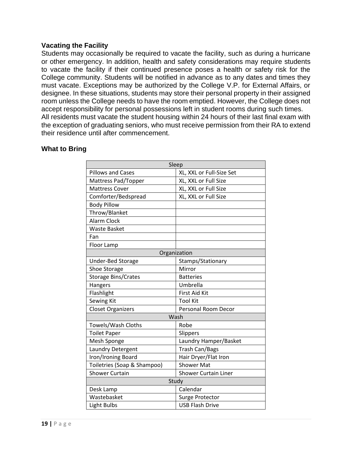#### <span id="page-18-0"></span>**Vacating the Facility**

Students may occasionally be required to vacate the facility, such as during a hurricane or other emergency. In addition, health and safety considerations may require students to vacate the facility if their continued presence poses a health or safety risk for the College community. Students will be notified in advance as to any dates and times they must vacate. Exceptions may be authorized by the College V.P. for External Affairs, or designee. In these situations, students may store their personal property in their assigned room unless the College needs to have the room emptied. However, the College does not accept responsibility for personal possessions left in student rooms during such times. All residents must vacate the student housing within 24 hours of their last final exam with the exception of graduating seniors, who must receive permission from their RA to extend their residence until after commencement.

#### <span id="page-18-1"></span>**What to Bring**

| Sleep                       |                             |  |
|-----------------------------|-----------------------------|--|
| <b>Pillows and Cases</b>    | XL, XXL or Full-Size Set    |  |
| Mattress Pad/Topper         | XL, XXL or Full Size        |  |
| <b>Mattress Cover</b>       | XL, XXL or Full Size        |  |
| Comforter/Bedspread         | XL, XXL or Full Size        |  |
| <b>Body Pillow</b>          |                             |  |
| Throw/Blanket               |                             |  |
| <b>Alarm Clock</b>          |                             |  |
| <b>Waste Basket</b>         |                             |  |
| Fan                         |                             |  |
| Floor Lamp                  |                             |  |
| Organization                |                             |  |
| Under-Bed Storage           | Stamps/Stationary           |  |
| Shoe Storage                | Mirror                      |  |
| <b>Storage Bins/Crates</b>  | <b>Batteries</b>            |  |
| Hangers                     | Umbrella                    |  |
| Flashlight                  | <b>First Aid Kit</b>        |  |
| Sewing Kit                  | <b>Tool Kit</b>             |  |
| <b>Closet Organizers</b>    | Personal Room Decor         |  |
| Wash                        |                             |  |
| Towels/Wash Cloths          | Robe                        |  |
| <b>Toilet Paper</b>         | Slippers                    |  |
| Mesh Sponge                 | Laundry Hamper/Basket       |  |
| Laundry Detergent           | <b>Trash Can/Bags</b>       |  |
| Iron/Ironing Board          | Hair Dryer/Flat Iron        |  |
| Toiletries (Soap & Shampoo) | <b>Shower Mat</b>           |  |
| <b>Shower Curtain</b>       | <b>Shower Curtain Liner</b> |  |
|                             | Study                       |  |
| Desk Lamp                   | Calendar                    |  |
| Wastebasket                 | Surge Protector             |  |
| Light Bulbs                 | <b>USB Flash Drive</b>      |  |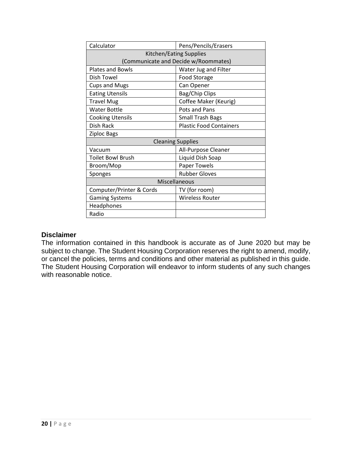| Calculator                           | Pens/Pencils/Erasers           |  |
|--------------------------------------|--------------------------------|--|
| Kitchen/Eating Supplies              |                                |  |
| (Communicate and Decide w/Roommates) |                                |  |
| <b>Plates and Bowls</b>              | Water Jug and Filter           |  |
| Dish Towel                           | <b>Food Storage</b>            |  |
| <b>Cups and Mugs</b>                 | Can Opener                     |  |
| <b>Eating Utensils</b>               | Bag/Chip Clips                 |  |
| <b>Travel Mug</b>                    | Coffee Maker (Keurig)          |  |
| <b>Water Bottle</b>                  | Pots and Pans                  |  |
| <b>Cooking Utensils</b>              | <b>Small Trash Bags</b>        |  |
| Dish Rack                            | <b>Plastic Food Containers</b> |  |
| <b>Ziploc Bags</b>                   |                                |  |
| <b>Cleaning Supplies</b>             |                                |  |
| Vacuum                               | All-Purpose Cleaner            |  |
| <b>Toilet Bowl Brush</b>             | Liquid Dish Soap               |  |
| Broom/Mop                            | Paper Towels                   |  |
| Sponges                              | <b>Rubber Gloves</b>           |  |
| Miscellaneous                        |                                |  |
| Computer/Printer & Cords             | TV (for room)                  |  |
| <b>Gaming Systems</b>                | <b>Wireless Router</b>         |  |
| Headphones                           |                                |  |
| Radio                                |                                |  |

#### <span id="page-19-0"></span>**Disclaimer**

The information contained in this handbook is accurate as of June 2020 but may be subject to change. The Student Housing Corporation reserves the right to amend, modify, or cancel the policies, terms and conditions and other material as published in this guide. The Student Housing Corporation will endeavor to inform students of any such changes with reasonable notice.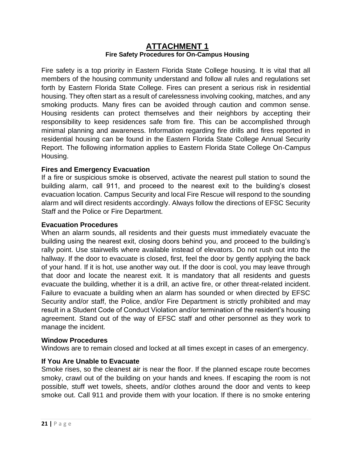# **ATTACHMENT 1 Fire Safety Procedures for On-Campus Housing**

<span id="page-20-1"></span><span id="page-20-0"></span>Fire safety is a top priority in Eastern Florida State College housing. It is vital that all members of the housing community understand and follow all rules and regulations set forth by Eastern Florida State College. Fires can present a serious risk in residential housing. They often start as a result of carelessness involving cooking, matches, and any smoking products. Many fires can be avoided through caution and common sense. Housing residents can protect themselves and their neighbors by accepting their responsibility to keep residences safe from fire. This can be accomplished through minimal planning and awareness. Information regarding fire drills and fires reported in residential housing can be found in the Eastern Florida State College Annual Security Report. The following information applies to Eastern Florida State College On-Campus Housing.

#### <span id="page-20-2"></span>**Fires and Emergency Evacuation**

If a fire or suspicious smoke is observed, activate the nearest pull station to sound the building alarm, call 911, and proceed to the nearest exit to the building's closest evacuation location. Campus Security and local Fire Rescue will respond to the sounding alarm and will direct residents accordingly. Always follow the directions of EFSC Security Staff and the Police or Fire Department.

#### <span id="page-20-3"></span>**Evacuation Procedures**

When an alarm sounds, all residents and their guests must immediately evacuate the building using the nearest exit, closing doors behind you, and proceed to the building's rally point. Use stairwells where available instead of elevators. Do not rush out into the hallway. If the door to evacuate is closed, first, feel the door by gently applying the back of your hand. If it is hot, use another way out. If the door is cool, you may leave through that door and locate the nearest exit. It is mandatory that all residents and guests evacuate the building, whether it is a drill, an active fire, or other threat-related incident. Failure to evacuate a building when an alarm has sounded or when directed by EFSC Security and/or staff, the Police, and/or Fire Department is strictly prohibited and may result in a Student Code of Conduct Violation and/or termination of the resident's housing agreement. Stand out of the way of EFSC staff and other personnel as they work to manage the incident.

#### <span id="page-20-4"></span>**Window Procedures**

Windows are to remain closed and locked at all times except in cases of an emergency.

#### <span id="page-20-5"></span>**If You Are Unable to Evacuate**

Smoke rises, so the cleanest air is near the floor. If the planned escape route becomes smoky, crawl out of the building on your hands and knees. If escaping the room is not possible, stuff wet towels, sheets, and/or clothes around the door and vents to keep smoke out. Call 911 and provide them with your location. If there is no smoke entering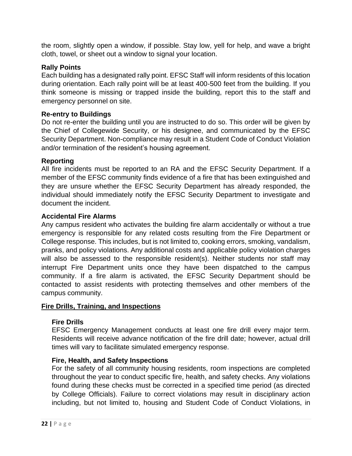the room, slightly open a window, if possible. Stay low, yell for help, and wave a bright cloth, towel, or sheet out a window to signal your location.

# <span id="page-21-0"></span>**Rally Points**

Each building has a designated rally point. EFSC Staff will inform residents of this location during orientation. Each rally point will be at least 400-500 feet from the building. If you think someone is missing or trapped inside the building, report this to the staff and emergency personnel on site.

#### <span id="page-21-1"></span>**Re-entry to Buildings**

Do not re-enter the building until you are instructed to do so. This order will be given by the Chief of Collegewide Security, or his designee, and communicated by the EFSC Security Department. Non-compliance may result in a Student Code of Conduct Violation and/or termination of the resident's housing agreement.

# <span id="page-21-2"></span>**Reporting**

All fire incidents must be reported to an RA and the EFSC Security Department. If a member of the EFSC community finds evidence of a fire that has been extinguished and they are unsure whether the EFSC Security Department has already responded, the individual should immediately notify the EFSC Security Department to investigate and document the incident.

# <span id="page-21-3"></span>**Accidental Fire Alarms**

Any campus resident who activates the building fire alarm accidentally or without a true emergency is responsible for any related costs resulting from the Fire Department or College response. This includes, but is not limited to, cooking errors, smoking, vandalism, pranks, and policy violations. Any additional costs and applicable policy violation charges will also be assessed to the responsible resident(s). Neither students nor staff may interrupt Fire Department units once they have been dispatched to the campus community. If a fire alarm is activated, the EFSC Security Department should be contacted to assist residents with protecting themselves and other members of the campus community.

#### <span id="page-21-4"></span>**Fire Drills, Training, and Inspections**

#### <span id="page-21-5"></span>**Fire Drills**

EFSC Emergency Management conducts at least one fire drill every major term. Residents will receive advance notification of the fire drill date; however, actual drill times will vary to facilitate simulated emergency response.

#### <span id="page-21-6"></span>**Fire, Health, and Safety Inspections**

For the safety of all community housing residents, room inspections are completed throughout the year to conduct specific fire, health, and safety checks. Any violations found during these checks must be corrected in a specified time period (as directed by College Officials). Failure to correct violations may result in disciplinary action including, but not limited to, housing and Student Code of Conduct Violations, in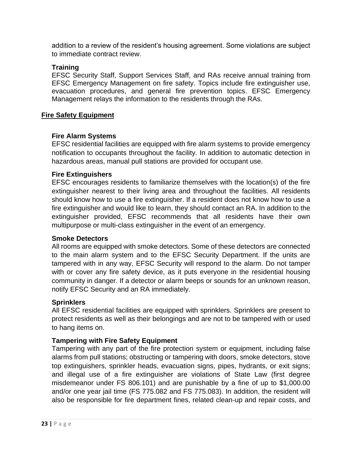addition to a review of the resident's housing agreement. Some violations are subject to immediate contract review.

#### **Training**

EFSC Security Staff, Support Services Staff, and RAs receive annual training from EFSC Emergency Management on fire safety. Topics include fire extinguisher use, evacuation procedures, and general fire prevention topics. EFSC Emergency Management relays the information to the residents through the RAs.

# <span id="page-22-0"></span>**Fire Safety Equipment**

# <span id="page-22-1"></span>**Fire Alarm Systems**

EFSC residential facilities are equipped with fire alarm systems to provide emergency notification to occupants throughout the facility. In addition to automatic detection in hazardous areas, manual pull stations are provided for occupant use.

# <span id="page-22-2"></span>**Fire Extinguishers**

EFSC encourages residents to familiarize themselves with the location(s) of the fire extinguisher nearest to their living area and throughout the facilities. All residents should know how to use a fire extinguisher. If a resident does not know how to use a fire extinguisher and would like to learn, they should contact an RA. In addition to the extinguisher provided, EFSC recommends that all residents have their own multipurpose or multi-class extinguisher in the event of an emergency.

#### <span id="page-22-3"></span>**Smoke Detectors**

All rooms are equipped with smoke detectors. Some of these detectors are connected to the main alarm system and to the EFSC Security Department. If the units are tampered with in any way, EFSC Security will respond to the alarm. Do not tamper with or cover any fire safety device, as it puts everyone in the residential housing community in danger. If a detector or alarm beeps or sounds for an unknown reason, notify EFSC Security and an RA immediately.

#### <span id="page-22-4"></span>**Sprinklers**

All EFSC residential facilities are equipped with sprinklers. Sprinklers are present to protect residents as well as their belongings and are not to be tampered with or used to hang items on.

# <span id="page-22-5"></span>**Tampering with Fire Safety Equipment**

Tampering with any part of the fire protection system or equipment, including false alarms from pull stations; obstructing or tampering with doors, smoke detectors, stove top extinguishers, sprinkler heads, evacuation signs, pipes, hydrants, or exit signs; and illegal use of a fire extinguisher are violations of State Law (first degree misdemeanor under FS 806.101) and are punishable by a fine of up to \$1,000.00 and/or one year jail time (FS 775.082 and FS 775.083). In addition, the resident will also be responsible for fire department fines, related clean-up and repair costs, and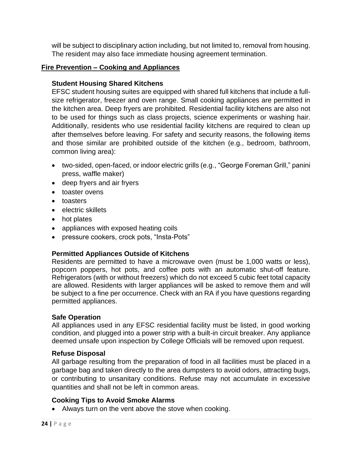will be subject to disciplinary action including, but not limited to, removal from housing. The resident may also face immediate housing agreement termination.

# <span id="page-23-0"></span>**Fire Prevention – Cooking and Appliances**

# <span id="page-23-1"></span>**Student Housing Shared Kitchens**

EFSC student housing suites are equipped with shared full kitchens that include a fullsize refrigerator, freezer and oven range. Small cooking appliances are permitted in the kitchen area. Deep fryers are prohibited. Residential facility kitchens are also not to be used for things such as class projects, science experiments or washing hair. Additionally, residents who use residential facility kitchens are required to clean up after themselves before leaving. For safety and security reasons, the following items and those similar are prohibited outside of the kitchen (e.g., bedroom, bathroom, common living area):

- two-sided, open-faced, or indoor electric grills (e.g., "George Foreman Grill," panini press, waffle maker)
- deep fryers and air fryers
- toaster ovens
- toasters
- electric skillets
- hot plates
- appliances with exposed heating coils
- pressure cookers, crock pots, "Insta-Pots"

# <span id="page-23-2"></span>**Permitted Appliances Outside of Kitchens**

Residents are permitted to have a microwave oven (must be 1,000 watts or less), popcorn poppers, hot pots, and coffee pots with an automatic shut-off feature. Refrigerators (with or without freezers) which do not exceed 5 cubic feet total capacity are allowed. Residents with larger appliances will be asked to remove them and will be subject to a fine per occurrence. Check with an RA if you have questions regarding permitted appliances.

#### <span id="page-23-3"></span>**Safe Operation**

All appliances used in any EFSC residential facility must be listed, in good working condition, and plugged into a power strip with a built-in circuit breaker. Any appliance deemed unsafe upon inspection by College Officials will be removed upon request.

#### <span id="page-23-4"></span>**Refuse Disposal**

All garbage resulting from the preparation of food in all facilities must be placed in a garbage bag and taken directly to the area dumpsters to avoid odors, attracting bugs, or contributing to unsanitary conditions. Refuse may not accumulate in excessive quantities and shall not be left in common areas.

#### <span id="page-23-5"></span>**Cooking Tips to Avoid Smoke Alarms**

• Always turn on the vent above the stove when cooking.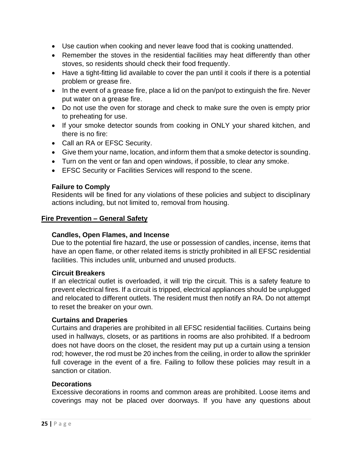- Use caution when cooking and never leave food that is cooking unattended.
- Remember the stoves in the residential facilities may heat differently than other stoves, so residents should check their food frequently.
- Have a tight-fitting lid available to cover the pan until it cools if there is a potential problem or grease fire.
- In the event of a grease fire, place a lid on the pan/pot to extinguish the fire. Never put water on a grease fire.
- Do not use the oven for storage and check to make sure the oven is empty prior to preheating for use.
- If your smoke detector sounds from cooking in ONLY your shared kitchen, and there is no fire:
- Call an RA or EFSC Security.
- Give them your name, location, and inform them that a smoke detector is sounding.
- Turn on the vent or fan and open windows, if possible, to clear any smoke.
- EFSC Security or Facilities Services will respond to the scene.

#### <span id="page-24-0"></span>**Failure to Comply**

Residents will be fined for any violations of these policies and subject to disciplinary actions including, but not limited to, removal from housing.

#### <span id="page-24-1"></span>**Fire Prevention – General Safety**

#### <span id="page-24-2"></span>**Candles, Open Flames, and Incense**

Due to the potential fire hazard, the use or possession of candles, incense, items that have an open flame, or other related items is strictly prohibited in all EFSC residential facilities. This includes unlit, unburned and unused products.

#### <span id="page-24-3"></span>**Circuit Breakers**

If an electrical outlet is overloaded, it will trip the circuit. This is a safety feature to prevent electrical fires. If a circuit is tripped, electrical appliances should be unplugged and relocated to different outlets. The resident must then notify an RA. Do not attempt to reset the breaker on your own.

#### <span id="page-24-4"></span>**Curtains and Draperies**

Curtains and draperies are prohibited in all EFSC residential facilities. Curtains being used in hallways, closets, or as partitions in rooms are also prohibited. If a bedroom does not have doors on the closet, the resident may put up a curtain using a tension rod; however, the rod must be 20 inches from the ceiling, in order to allow the sprinkler full coverage in the event of a fire. Failing to follow these policies may result in a sanction or citation.

#### <span id="page-24-5"></span>**Decorations**

Excessive decorations in rooms and common areas are prohibited. Loose items and coverings may not be placed over doorways. If you have any questions about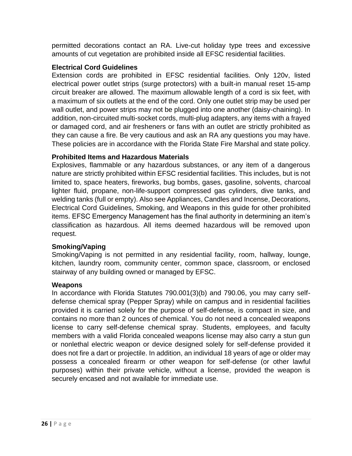permitted decorations contact an RA. Live-cut holiday type trees and excessive amounts of cut vegetation are prohibited inside all EFSC residential facilities.

# <span id="page-25-0"></span>**Electrical Cord Guidelines**

Extension cords are prohibited in EFSC residential facilities. Only 120v, listed electrical power outlet strips (surge protectors) with a built-in manual reset 15-amp circuit breaker are allowed. The maximum allowable length of a cord is six feet, with a maximum of six outlets at the end of the cord. Only one outlet strip may be used per wall outlet, and power strips may not be plugged into one another (daisy-chaining). In addition, non-circuited multi-socket cords, multi-plug adapters, any items with a frayed or damaged cord, and air fresheners or fans with an outlet are strictly prohibited as they can cause a fire. Be very cautious and ask an RA any questions you may have. These policies are in accordance with the Florida State Fire Marshal and state policy.

# <span id="page-25-1"></span>**Prohibited Items and Hazardous Materials**

Explosives, flammable or any hazardous substances, or any item of a dangerous nature are strictly prohibited within EFSC residential facilities. This includes, but is not limited to, space heaters, fireworks, bug bombs, gases, gasoline, solvents, charcoal lighter fluid, propane, non-life-support compressed gas cylinders, dive tanks, and welding tanks (full or empty). Also see Appliances, Candles and Incense, Decorations, Electrical Cord Guidelines, Smoking, and Weapons in this guide for other prohibited items. EFSC Emergency Management has the final authority in determining an item's classification as hazardous. All items deemed hazardous will be removed upon request.

# <span id="page-25-2"></span>**Smoking/Vaping**

Smoking/Vaping is not permitted in any residential facility, room, hallway, lounge, kitchen, laundry room, community center, common space, classroom, or enclosed stairway of any building owned or managed by EFSC.

#### <span id="page-25-3"></span>**Weapons**

In accordance with Florida Statutes 790.001(3)(b) and 790.06, you may carry selfdefense chemical spray (Pepper Spray) while on campus and in residential facilities provided it is carried solely for the purpose of self-defense, is compact in size, and contains no more than 2 ounces of chemical. You do not need a concealed weapons license to carry self-defense chemical spray. Students, employees, and faculty members with a valid Florida concealed weapons license may also carry a stun gun or nonlethal electric weapon or device designed solely for self-defense provided it does not fire a dart or projectile. In addition, an individual 18 years of age or older may possess a concealed firearm or other weapon for self-defense (or other lawful purposes) within their private vehicle, without a license, provided the weapon is securely encased and not available for immediate use.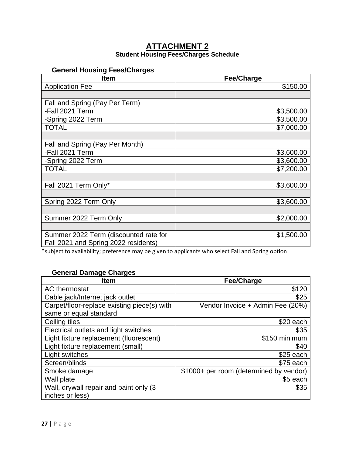# **ATTACHMENT 2**

#### **Student Housing Fees/Charges Schedule**

# <span id="page-26-1"></span><span id="page-26-0"></span>**General Housing Fees/Charges**

<span id="page-26-2"></span>

| <b>Item</b>                           | <b>Fee/Charge</b> |
|---------------------------------------|-------------------|
| <b>Application Fee</b>                | \$150.00          |
|                                       |                   |
| Fall and Spring (Pay Per Term)        |                   |
| -Fall 2021 Term                       | \$3,500.00        |
| -Spring 2022 Term                     | \$3,500.00        |
| <b>TOTAL</b>                          | \$7,000.00        |
|                                       |                   |
| Fall and Spring (Pay Per Month)       |                   |
| -Fall 2021 Term                       | \$3,600.00        |
| -Spring 2022 Term                     | \$3,600.00        |
| <b>TOTAL</b>                          | \$7,200.00        |
|                                       |                   |
| Fall 2021 Term Only*                  | \$3,600.00        |
|                                       |                   |
| Spring 2022 Term Only                 | \$3,600.00        |
|                                       |                   |
| Summer 2022 Term Only                 | \$2,000.00        |
|                                       |                   |
| Summer 2022 Term (discounted rate for | \$1,500.00        |
| Fall 2021 and Spring 2022 residents)  |                   |

\*subject to availability; preference may be given to applicants who select Fall and Spring option

# **General Damage Charges**

<span id="page-26-3"></span>

| <b>Item</b>                                 | <b>Fee/Charge</b>                       |
|---------------------------------------------|-----------------------------------------|
| AC thermostat                               | \$120                                   |
| Cable jack/Internet jack outlet             | \$25                                    |
| Carpet/floor-replace existing piece(s) with | Vendor Invoice + Admin Fee (20%)        |
| same or equal standard                      |                                         |
| Ceiling tiles                               | \$20 each                               |
| Electrical outlets and light switches       | \$35                                    |
| Light fixture replacement (fluorescent)     | \$150 minimum                           |
| Light fixture replacement (small)           | \$40                                    |
| Light switches                              | $$25$ each                              |
| Screen/blinds                               | \$75 each                               |
| Smoke damage                                | \$1000+ per room (determined by vendor) |
| Wall plate                                  | \$5 each                                |
| Wall, drywall repair and paint only (3      | \$35                                    |
| inches or less)                             |                                         |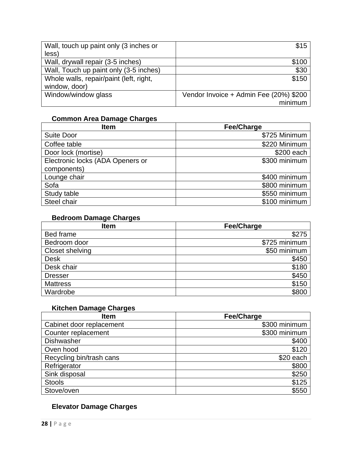| Wall, touch up paint only (3 inches or  | \$15                                   |
|-----------------------------------------|----------------------------------------|
| less)                                   |                                        |
| Wall, drywall repair (3-5 inches)       | \$100                                  |
| Wall, Touch up paint only (3-5 inches)  | \$30                                   |
| Whole walls, repair/paint (left, right, | \$150                                  |
| window, door)                           |                                        |
| Window/window glass                     | Vendor Invoice + Admin Fee (20%) \$200 |
|                                         | minimum                                |

# **Common Area Damage Charges**

<span id="page-27-0"></span>

| <b>Item</b>                      | Fee/Charge    |
|----------------------------------|---------------|
| <b>Suite Door</b>                | \$725 Minimum |
| Coffee table                     | \$220 Minimum |
| Door lock (mortise)              | \$200 each    |
| Electronic locks (ADA Openers or | \$300 minimum |
| components)                      |               |
| Lounge chair                     | \$400 minimum |
| Sofa                             | \$800 minimum |
| Study table                      | \$550 minimum |
| Steel chair                      | \$100 minimum |

# **Bedroom Damage Charges**

<span id="page-27-1"></span>

| <b>Item</b>     | <b>Fee/Charge</b> |
|-----------------|-------------------|
| Bed frame       | \$275             |
| Bedroom door    | \$725 minimum     |
| Closet shelving | \$50 minimum      |
| <b>Desk</b>     | \$450             |
| Desk chair      | \$180             |
| <b>Dresser</b>  | \$450             |
| <b>Mattress</b> | \$150             |
| Wardrobe        | \$800             |

# **Kitchen Damage Charges**

<span id="page-27-2"></span>

| <b>Item</b>              | <b>Fee/Charge</b> |
|--------------------------|-------------------|
| Cabinet door replacement | \$300 minimum     |
| Counter replacement      | \$300 minimum     |
| <b>Dishwasher</b>        | \$400             |
| Oven hood                | \$120             |
| Recycling bin/trash cans | \$20 each         |
| Refrigerator             | \$800             |
| Sink disposal            | \$250             |
| <b>Stools</b>            | \$125             |
| Stove/oven               | \$550             |

# <span id="page-27-3"></span>**Elevator Damage Charges**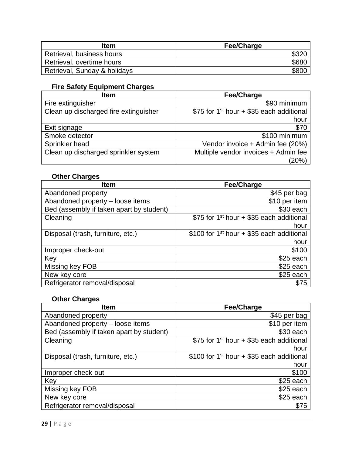| Item                         | <b>Fee/Charge</b> |
|------------------------------|-------------------|
| Retrieval, business hours    | \$32C             |
| Retrieval, overtime hours    | \$680             |
| Retrieval, Sunday & holidays | \$80 <sub>C</sub> |

# **Fire Safety Equipment Charges**

<span id="page-28-0"></span>

| <b>Item</b>                           | <b>Fee/Charge</b>                                    |
|---------------------------------------|------------------------------------------------------|
| Fire extinguisher                     | \$90 minimum                                         |
| Clean up discharged fire extinguisher | \$75 for 1 <sup>st</sup> hour + \$35 each additional |
|                                       | hour                                                 |
| Exit signage                          | \$70                                                 |
| Smoke detector                        | \$100 minimum                                        |
| Sprinkler head                        | Vendor invoice + Admin fee (20%)                     |
| Clean up discharged sprinkler system  | Multiple vendor invoices + Admin fee                 |
|                                       | (20%)                                                |

# **Other Charges**

<span id="page-28-1"></span>

| <b>Fee/Charge</b>                                       |
|---------------------------------------------------------|
| \$45 per bag                                            |
| \$10 per item                                           |
| \$30 each                                               |
| \$75 for 1 <sup>st</sup> hour + \$35 each additional    |
| hour                                                    |
| \$100 for 1 <sup>st</sup> hour $+$ \$35 each additional |
| hour                                                    |
| \$100                                                   |
| $$25$ each                                              |
| $$25$ each                                              |
| \$25 each                                               |
| \$75                                                    |
|                                                         |

# **Other Charges**

<span id="page-28-2"></span>

| <b>Item</b>                              | <b>Fee/Charge</b>                                       |
|------------------------------------------|---------------------------------------------------------|
| Abandoned property                       | \$45 per bag                                            |
| Abandoned property - loose items         | \$10 per item                                           |
| Bed (assembly if taken apart by student) | \$30 each                                               |
| Cleaning                                 | \$75 for 1 <sup>st</sup> hour + \$35 each additional    |
|                                          | hour                                                    |
| Disposal (trash, furniture, etc.)        | \$100 for 1 <sup>st</sup> hour $+$ \$35 each additional |
|                                          | hour                                                    |
| Improper check-out                       | \$100                                                   |
| Key                                      | $$25$ each                                              |
| Missing key FOB                          | $$25$ each                                              |
| New key core                             | \$25 each                                               |
| Refrigerator removal/disposal            | \$75                                                    |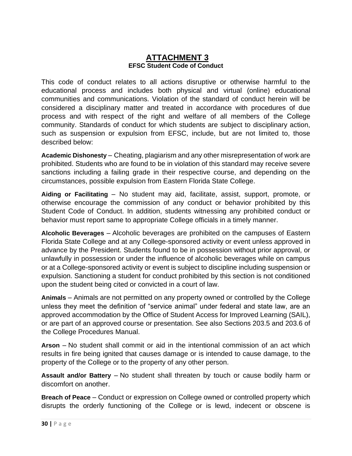# **ATTACHMENT 3 EFSC Student Code of Conduct**

<span id="page-29-1"></span><span id="page-29-0"></span>This code of conduct relates to all actions disruptive or otherwise harmful to the educational process and includes both physical and virtual (online) educational communities and communications. Violation of the standard of conduct herein will be considered a disciplinary matter and treated in accordance with procedures of due process and with respect of the right and welfare of all members of the College community. Standards of conduct for which students are subject to disciplinary action, such as suspension or expulsion from EFSC, include, but are not limited to, those described below:

<span id="page-29-2"></span>**Academic Dishonesty** – Cheating, plagiarism and any other misrepresentation of work are prohibited. Students who are found to be in violation of this standard may receive severe sanctions including a failing grade in their respective course, and depending on the circumstances, possible expulsion from Eastern Florida State College.

<span id="page-29-3"></span>**Aiding or Facilitating** – No student may aid, facilitate, assist, support, promote, or otherwise encourage the commission of any conduct or behavior prohibited by this Student Code of Conduct. In addition, students witnessing any prohibited conduct or behavior must report same to appropriate College officials in a timely manner.

<span id="page-29-4"></span>**Alcoholic Beverages** – Alcoholic beverages are prohibited on the campuses of Eastern Florida State College and at any College-sponsored activity or event unless approved in advance by the President. Students found to be in possession without prior approval, or unlawfully in possession or under the influence of alcoholic beverages while on campus or at a College-sponsored activity or event is subject to discipline including suspension or expulsion. Sanctioning a student for conduct prohibited by this section is not conditioned upon the student being cited or convicted in a court of law.

<span id="page-29-5"></span>**Animals** – Animals are not permitted on any property owned or controlled by the College unless they meet the definition of "service animal" under federal and state law, are an approved accommodation by the Office of Student Access for Improved Learning (SAIL), or are part of an approved course or presentation. See also Sections 203.5 and 203.6 of the College Procedures Manual.

<span id="page-29-6"></span>**Arson** – No student shall commit or aid in the intentional commission of an act which results in fire being ignited that causes damage or is intended to cause damage, to the property of the College or to the property of any other person.

<span id="page-29-7"></span>**Assault and/or Battery** – No student shall threaten by touch or cause bodily harm or discomfort on another.

<span id="page-29-8"></span>**Breach of Peace** – Conduct or expression on College owned or controlled property which disrupts the orderly functioning of the College or is lewd, indecent or obscene is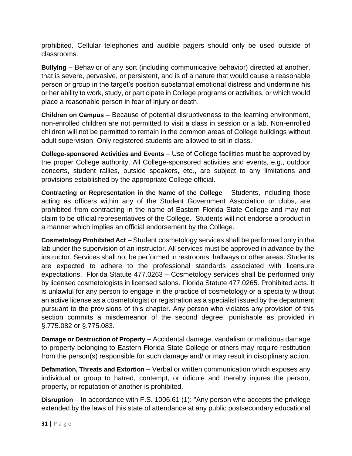prohibited. Cellular telephones and audible pagers should only be used outside of classrooms.

<span id="page-30-0"></span>**Bullying** – Behavior of any sort (including communicative behavior) directed at another, that is severe, pervasive, or persistent, and is of a nature that would cause a reasonable person or group in the target's position substantial emotional distress and undermine his or her ability to work, study, or participate in College programs or activities, or which would place a reasonable person in fear of injury or death.

<span id="page-30-1"></span>**Children on Campus** – Because of potential disruptiveness to the learning environment, non-enrolled children are not permitted to visit a class in session or a lab. Non-enrolled children will not be permitted to remain in the common areas of College buildings without adult supervision. Only registered students are allowed to sit in class.

<span id="page-30-2"></span>**College-sponsored Activities and Events** – Use of College facilities must be approved by the proper College authority. All College-sponsored activities and events, e.g., outdoor concerts, student rallies, outside speakers, etc., are subject to any limitations and provisions established by the appropriate College official.

<span id="page-30-3"></span>**Contracting or Representation in the Name of the College** – Students, including those acting as officers within any of the Student Government Association or clubs, are prohibited from contracting in the name of Eastern Florida State College and may not claim to be official representatives of the College. Students will not endorse a product in a manner which implies an official endorsement by the College.

<span id="page-30-4"></span>**Cosmetology Prohibited Act** – Student cosmetology services shall be performed only in the lab under the supervision of an instructor. All services must be approved in advance by the instructor. Services shall not be performed in restrooms, hallways or other areas. Students are expected to adhere to the professional standards associated with licensure expectations. Florida Statute 477.0263 – Cosmetology services shall be performed only by licensed cosmetologists in licensed salons. Florida Statute 477.0265. Prohibited acts. It is unlawful for any person to engage in the practice of cosmetology or a specialty without an active license as a cosmetologist or registration as a specialist issued by the department pursuant to the provisions of this chapter. Any person who violates any provision of this section commits a misdemeanor of the second degree, punishable as provided in §.775.082 or §.775.083.

<span id="page-30-5"></span>**Damage or Destruction of Property** – Accidental damage, vandalism or malicious damage to property belonging to Eastern Florida State College or others may require restitution from the person(s) responsible for such damage and/ or may result in disciplinary action.

<span id="page-30-6"></span>**Defamation, Threats and Extortion** – Verbal or written communication which exposes any individual or group to hatred, contempt, or ridicule and thereby injures the person, property, or reputation of another is prohibited.

<span id="page-30-7"></span>**Disruption** – In accordance with F.S. 1006.61 (1): "Any person who accepts the privilege extended by the laws of this state of attendance at any public postsecondary educational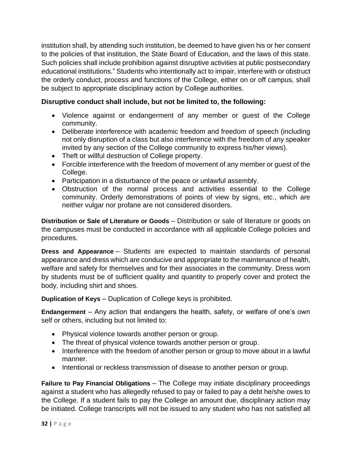institution shall, by attending such institution, be deemed to have given his or her consent to the policies of that institution, the State Board of Education, and the laws of this state. Such policies shall include prohibition against disruptive activities at public postsecondary educational institutions." Students who intentionally act to impair, interfere with or obstruct the orderly conduct, process and functions of the College, either on or off campus, shall be subject to appropriate disciplinary action by College authorities.

# **Disruptive conduct shall include, but not be limited to, the following:**

- Violence against or endangerment of any member or guest of the College community.
- Deliberate interference with academic freedom and freedom of speech (including not only disruption of a class but also interference with the freedom of any speaker invited by any section of the College community to express his/her views).
- Theft or willful destruction of College property.
- Forcible interference with the freedom of movement of any member or guest of the College.
- Participation in a disturbance of the peace or unlawful assembly.
- Obstruction of the normal process and activities essential to the College community. Orderly demonstrations of points of view by signs, etc., which are neither vulgar nor profane are not considered disorders.

<span id="page-31-0"></span>**Distribution or Sale of Literature or Goods** – Distribution or sale of literature or goods on the campuses must be conducted in accordance with all applicable College policies and procedures.

<span id="page-31-1"></span>**Dress and Appearance** – Students are expected to maintain standards of personal appearance and dress which are conducive and appropriate to the maintenance of health, welfare and safety for themselves and for their associates in the community. Dress worn by students must be of sufficient quality and quantity to properly cover and protect the body, including shirt and shoes.

<span id="page-31-2"></span>**Duplication of Keys** – Duplication of College keys is prohibited.

<span id="page-31-3"></span>**Endangerment** – Any action that endangers the health, safety, or welfare of one's own self or others, including but not limited to:

- Physical violence towards another person or group.
- The threat of physical violence towards another person or group.
- Interference with the freedom of another person or group to move about in a lawful manner.
- Intentional or reckless transmission of disease to another person or group.

<span id="page-31-4"></span>**Failure to Pay Financial Obligations** – The College may initiate disciplinary proceedings against a student who has allegedly refused to pay or failed to pay a debt he/she owes to the College. If a student fails to pay the College an amount due, disciplinary action may be initiated. College transcripts will not be issued to any student who has not satisfied all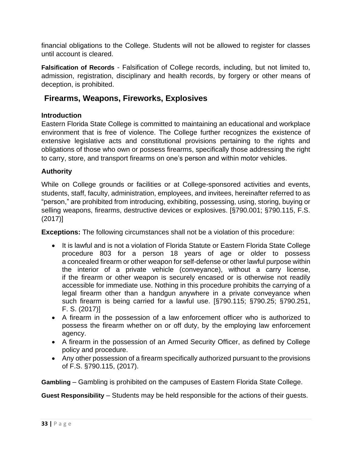financial obligations to the College. Students will not be allowed to register for classes until account is cleared.

<span id="page-32-0"></span>**Falsification of Records** - Falsification of College records, including, but not limited to, admission, registration, disciplinary and health records, by forgery or other means of deception, is prohibited.

# <span id="page-32-1"></span>**Firearms, Weapons, Fireworks, Explosives**

# **Introduction**

Eastern Florida State College is committed to maintaining an educational and workplace environment that is free of violence. The College further recognizes the existence of extensive legislative acts and constitutional provisions pertaining to the rights and obligations of those who own or possess firearms, specifically those addressing the right to carry, store, and transport firearms on one's person and within motor vehicles.

# **Authority**

While on College grounds or facilities or at College-sponsored activities and events, students, staff, faculty, administration, employees, and invitees, hereinafter referred to as "person," are prohibited from introducing, exhibiting, possessing, using, storing, buying or selling weapons, firearms, destructive devices or explosives. [§790.001; §790.115, F.S. (2017)]

**Exceptions:** The following circumstances shall not be a violation of this procedure:

- It is lawful and is not a violation of Florida Statute or Eastern Florida State College procedure 803 for a person 18 years of age or older to possess a concealed firearm or other weapon for self-defense or other lawful purpose within the interior of a private vehicle (conveyance), without a carry license, if the firearm or other weapon is securely encased or is otherwise not readily accessible for immediate use. Nothing in this procedure prohibits the carrying of a legal firearm other than a handgun anywhere in a private conveyance when such firearm is being carried for a lawful use. [§790.115; §790.25; §790.251, F. S. (2017)]
- A firearm in the possession of a law enforcement officer who is authorized to possess the firearm whether on or off duty, by the employing law enforcement agency.
- A firearm in the possession of an Armed Security Officer, as defined by College policy and procedure.
- Any other possession of a firearm specifically authorized pursuant to the provisions of F.S. §790.115, (2017).

<span id="page-32-2"></span>**Gambling** – Gambling is prohibited on the campuses of Eastern Florida State College.

<span id="page-32-3"></span>**Guest Responsibility** – Students may be held responsible for the actions of their guests.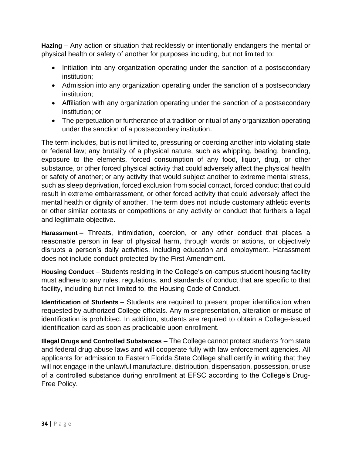<span id="page-33-0"></span>**Hazing** – Any action or situation that recklessly or intentionally endangers the mental or physical health or safety of another for purposes including, but not limited to:

- Initiation into any organization operating under the sanction of a postsecondary institution;
- Admission into any organization operating under the sanction of a postsecondary institution;
- Affiliation with any organization operating under the sanction of a postsecondary institution; or
- The perpetuation or furtherance of a tradition or ritual of any organization operating under the sanction of a postsecondary institution.

The term includes, but is not limited to, pressuring or coercing another into violating state or federal law; any brutality of a physical nature, such as whipping, beating, branding, exposure to the elements, forced consumption of any food, liquor, drug, or other substance, or other forced physical activity that could adversely affect the physical health or safety of another; or any activity that would subject another to extreme mental stress, such as sleep deprivation, forced exclusion from social contact, forced conduct that could result in extreme embarrassment, or other forced activity that could adversely affect the mental health or dignity of another. The term does not include customary athletic events or other similar contests or competitions or any activity or conduct that furthers a legal and legitimate objective.

<span id="page-33-1"></span>**Harassment –** Threats, intimidation, coercion, or any other conduct that places a reasonable person in fear of physical harm, through words or actions, or objectively disrupts a person's daily activities, including education and employment. Harassment does not include conduct protected by the First Amendment.

<span id="page-33-2"></span>**Housing Conduct** – Students residing in the College's on-campus student housing facility must adhere to any rules, regulations, and standards of conduct that are specific to that facility, including but not limited to, the Housing Code of Conduct.

<span id="page-33-3"></span>**Identification of Students** – Students are required to present proper identification when requested by authorized College officials. Any misrepresentation, alteration or misuse of identification is prohibited. In addition, students are required to obtain a College-issued identification card as soon as practicable upon enrollment.

<span id="page-33-4"></span>**Illegal Drugs and Controlled Substances** – The College cannot protect students from state and federal drug abuse laws and will cooperate fully with law enforcement agencies. All applicants for admission to Eastern Florida State College shall certify in writing that they will not engage in the unlawful manufacture, distribution, dispensation, possession, or use of a controlled substance during enrollment at EFSC according to the College's Drug-Free Policy.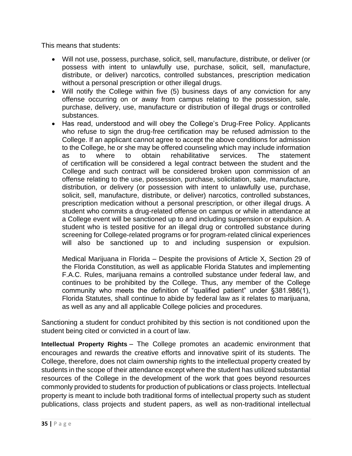This means that students:

- Will not use, possess, purchase, solicit, sell, manufacture, distribute, or deliver (or possess with intent to unlawfully use, purchase, solicit, sell, manufacture, distribute, or deliver) narcotics, controlled substances, prescription medication without a personal prescription or other illegal drugs.
- Will notify the College within five (5) business days of any conviction for any offense occurring on or away from campus relating to the possession, sale, purchase, delivery, use, manufacture or distribution of illegal drugs or controlled substances.
- Has read, understood and will obey the College's Drug-Free Policy. Applicants who refuse to sign the drug-free certification may be refused admission to the College. If an applicant cannot agree to accept the above conditions for admission to the College, he or she may be offered counseling which may include information as to where to obtain rehabilitative services. The statement of certification will be considered a legal contract between the student and the College and such contract will be considered broken upon commission of an offense relating to the use, possession, purchase, solicitation, sale, manufacture, distribution, or delivery (or possession with intent to unlawfully use, purchase, solicit, sell, manufacture, distribute, or deliver) narcotics, controlled substances, prescription medication without a personal prescription, or other illegal drugs. A student who commits a drug-related offense on campus or while in attendance at a College event will be sanctioned up to and including suspension or expulsion. A student who is tested positive for an illegal drug or controlled substance during screening for College-related programs or for program-related clinical experiences will also be sanctioned up to and including suspension or expulsion.

Medical Marijuana in Florida – Despite the provisions of Article X, Section 29 of the Florida Constitution, as well as applicable Florida Statutes and implementing F.A.C. Rules, marijuana remains a controlled substance under federal law, and continues to be prohibited by the College. Thus, any member of the College community who meets the definition of "qualified patient" under §381.986(1), Florida Statutes, shall continue to abide by federal law as it relates to marijuana, as well as any and all applicable College policies and procedures.

Sanctioning a student for conduct prohibited by this section is not conditioned upon the student being cited or convicted in a court of law.

<span id="page-34-0"></span>**Intellectual Property Rights** – The College promotes an academic environment that encourages and rewards the creative efforts and innovative spirit of its students. The College, therefore, does not claim ownership rights to the intellectual property created by students in the scope of their attendance except where the student has utilized substantial resources of the College in the development of the work that goes beyond resources commonly provided to students for production of publications or class projects. Intellectual property is meant to include both traditional forms of intellectual property such as student publications, class projects and student papers, as well as non-traditional intellectual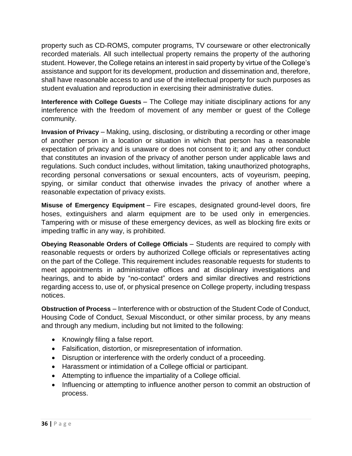property such as CD-ROMS, computer programs, TV courseware or other electronically recorded materials. All such intellectual property remains the property of the authoring student. However, the College retains an interest in said property by virtue of the College's assistance and support for its development, production and dissemination and, therefore, shall have reasonable access to and use of the intellectual property for such purposes as student evaluation and reproduction in exercising their administrative duties.

<span id="page-35-0"></span>**Interference with College Guests** – The College may initiate disciplinary actions for any interference with the freedom of movement of any member or guest of the College community.

<span id="page-35-1"></span>**Invasion of Privacy** – Making, using, disclosing, or distributing a recording or other image of another person in a location or situation in which that person has a reasonable expectation of privacy and is unaware or does not consent to it; and any other conduct that constitutes an invasion of the privacy of another person under applicable laws and regulations. Such conduct includes, without limitation, taking unauthorized photographs, recording personal conversations or sexual encounters, acts of voyeurism, peeping, spying, or similar conduct that otherwise invades the privacy of another where a reasonable expectation of privacy exists.

<span id="page-35-2"></span>**Misuse of Emergency Equipment** – Fire escapes, designated ground-level doors, fire hoses, extinguishers and alarm equipment are to be used only in emergencies. Tampering with or misuse of these emergency devices, as well as blocking fire exits or impeding traffic in any way, is prohibited.

<span id="page-35-3"></span>**Obeying Reasonable Orders of College Officials** – Students are required to comply with reasonable requests or orders by authorized College officials or representatives acting on the part of the College. This requirement includes reasonable requests for students to meet appointments in administrative offices and at disciplinary investigations and hearings, and to abide by "no-contact" orders and similar directives and restrictions regarding access to, use of, or physical presence on College property, including trespass notices.

<span id="page-35-4"></span>**Obstruction of Process** – Interference with or obstruction of the Student Code of Conduct, Housing Code of Conduct, Sexual Misconduct, or other similar process, by any means and through any medium, including but not limited to the following:

- Knowingly filing a false report.
- Falsification, distortion, or misrepresentation of information.
- Disruption or interference with the orderly conduct of a proceeding.
- Harassment or intimidation of a College official or participant.
- Attempting to influence the impartiality of a College official.
- Influencing or attempting to influence another person to commit an obstruction of process.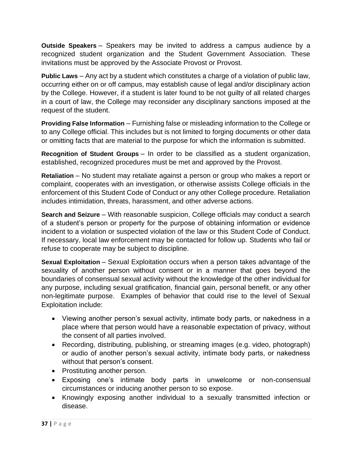<span id="page-36-0"></span>**Outside Speakers** – Speakers may be invited to address a campus audience by a recognized student organization and the Student Government Association. These invitations must be approved by the Associate Provost or Provost.

<span id="page-36-1"></span>**Public Laws** – Any act by a student which constitutes a charge of a violation of public law, occurring either on or off campus, may establish cause of legal and/or disciplinary action by the College. However, if a student is later found to be not guilty of all related charges in a court of law, the College may reconsider any disciplinary sanctions imposed at the request of the student.

<span id="page-36-2"></span>**Providing False Information** – Furnishing false or misleading information to the College or to any College official. This includes but is not limited to forging documents or other data or omitting facts that are material to the purpose for which the information is submitted.

<span id="page-36-3"></span>**Recognition of Student Groups** – In order to be classified as a student organization, established, recognized procedures must be met and approved by the Provost.

<span id="page-36-4"></span>**Retaliation** – No student may retaliate against a person or group who makes a report or complaint, cooperates with an investigation, or otherwise assists College officials in the enforcement of this Student Code of Conduct or any other College procedure. Retaliation includes intimidation, threats, harassment, and other adverse actions.

<span id="page-36-5"></span>**Search and Seizure** – With reasonable suspicion, College officials may conduct a search of a student's person or property for the purpose of obtaining information or evidence incident to a violation or suspected violation of the law or this Student Code of Conduct. If necessary, local law enforcement may be contacted for follow up. Students who fail or refuse to cooperate may be subject to discipline.

<span id="page-36-6"></span>**Sexual Exploitation** – Sexual Exploitation occurs when a person takes advantage of the sexuality of another person without consent or in a manner that goes beyond the boundaries of consensual sexual activity without the knowledge of the other individual for any purpose, including sexual gratification, financial gain, personal benefit, or any other non-legitimate purpose. Examples of behavior that could rise to the level of Sexual Exploitation include:

- Viewing another person's sexual activity, intimate body parts, or nakedness in a place where that person would have a reasonable expectation of privacy, without the consent of all parties involved.
- Recording, distributing, publishing, or streaming images (e.g. video, photograph) or audio of another person's sexual activity, intimate body parts, or nakedness without that person's consent.
- Prostituting another person.
- Exposing one's intimate body parts in unwelcome or non-consensual circumstances or inducing another person to so expose.
- Knowingly exposing another individual to a sexually transmitted infection or disease.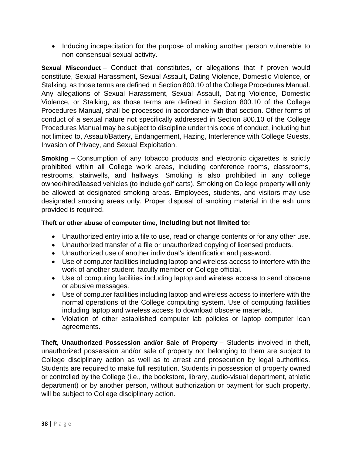• Inducing incapacitation for the purpose of making another person vulnerable to non-consensual sexual activity.

<span id="page-37-0"></span>**Sexual Misconduct** – Conduct that constitutes, or allegations that if proven would constitute, Sexual Harassment, Sexual Assault, Dating Violence, Domestic Violence, or Stalking, as those terms are defined in Section 800.10 of the College Procedures Manual. Any allegations of Sexual Harassment, Sexual Assault, Dating Violence, Domestic Violence, or Stalking, as those terms are defined in Section 800.10 of the College Procedures Manual, shall be processed in accordance with that section. Other forms of conduct of a sexual nature not specifically addressed in Section 800.10 of the College Procedures Manual may be subject to discipline under this code of conduct, including but not limited to, Assault/Battery, Endangerment, Hazing, Interference with College Guests, Invasion of Privacy, and Sexual Exploitation.

<span id="page-37-1"></span>**Smoking** – Consumption of any tobacco products and electronic cigarettes is strictly prohibited within all College work areas, including conference rooms, classrooms, restrooms, stairwells, and hallways. Smoking is also prohibited in any college owned/hired/leased vehicles (to include golf carts). Smoking on College property will only be allowed at designated smoking areas. Employees, students, and visitors may use designated smoking areas only. Proper disposal of smoking material in the ash urns provided is required.

# <span id="page-37-2"></span>**Theft or other abuse of computer time, including but not limited to:**

- Unauthorized entry into a file to use, read or change contents or for any other use.
- Unauthorized transfer of a file or unauthorized copying of licensed products.
- Unauthorized use of another individual's identification and password.
- Use of computer facilities including laptop and wireless access to interfere with the work of another student, faculty member or College official.
- Use of computing facilities including laptop and wireless access to send obscene or abusive messages.
- Use of computer facilities including laptop and wireless access to interfere with the normal operations of the College computing system. Use of computing facilities including laptop and wireless access to download obscene materials.
- Violation of other established computer lab policies or laptop computer loan agreements.

<span id="page-37-3"></span>**Theft, Unauthorized Possession and/or Sale of Property** – Students involved in theft, unauthorized possession and/or sale of property not belonging to them are subject to College disciplinary action as well as to arrest and prosecution by legal authorities. Students are required to make full restitution. Students in possession of property owned or controlled by the College (i.e., the bookstore, library, audio-visual department, athletic department) or by another person, without authorization or payment for such property, will be subject to College disciplinary action.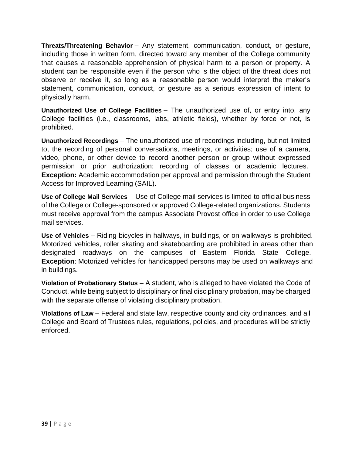<span id="page-38-0"></span>**Threats/Threatening Behavior** – Any statement, communication, conduct, or gesture, including those in written form, directed toward any member of the College community that causes a reasonable apprehension of physical harm to a person or property. A student can be responsible even if the person who is the object of the threat does not observe or receive it, so long as a reasonable person would interpret the maker's statement, communication, conduct, or gesture as a serious expression of intent to physically harm.

<span id="page-38-1"></span>**Unauthorized Use of College Facilities** – The unauthorized use of, or entry into, any College facilities (i.e., classrooms, labs, athletic fields), whether by force or not, is prohibited.

<span id="page-38-2"></span>**Unauthorized Recordings** – The unauthorized use of recordings including, but not limited to, the recording of personal conversations, meetings, or activities; use of a camera, video, phone, or other device to record another person or group without expressed permission or prior authorization; recording of classes or academic lectures. **Exception:** Academic accommodation per approval and permission through the Student Access for Improved Learning (SAIL).

<span id="page-38-3"></span>**Use of College Mail Services** – Use of College mail services is limited to official business of the College or College-sponsored or approved College-related organizations. Students must receive approval from the campus Associate Provost office in order to use College mail services.

<span id="page-38-4"></span>**Use of Vehicles** – Riding bicycles in hallways, in buildings, or on walkways is prohibited. Motorized vehicles, roller skating and skateboarding are prohibited in areas other than designated roadways on the campuses of Eastern Florida State College. **Exception**: Motorized vehicles for handicapped persons may be used on walkways and in buildings.

<span id="page-38-5"></span>**Violation of Probationary Status** – A student, who is alleged to have violated the Code of Conduct, while being subject to disciplinary or final disciplinary probation, may be charged with the separate offense of violating disciplinary probation.

<span id="page-38-6"></span>**Violations of Law** – Federal and state law, respective county and city ordinances, and all College and Board of Trustees rules, regulations, policies, and procedures will be strictly enforced.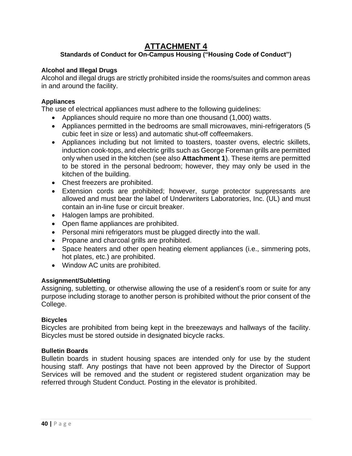# **ATTACHMENT 4**

# <span id="page-39-0"></span>**Standards of Conduct for On-Campus Housing ("Housing Code of Conduct")**

# <span id="page-39-2"></span><span id="page-39-1"></span>**Alcohol and Illegal Drugs**

Alcohol and illegal drugs are strictly prohibited inside the rooms/suites and common areas in and around the facility.

# <span id="page-39-3"></span>**Appliances**

The use of electrical appliances must adhere to the following guidelines:

- Appliances should require no more than one thousand (1,000) watts.
- Appliances permitted in the bedrooms are small microwaves, mini-refrigerators (5 cubic feet in size or less) and automatic shut-off coffeemakers.
- Appliances including but not limited to toasters, toaster ovens, electric skillets, induction cook-tops, and electric grills such as George Foreman grills are permitted only when used in the kitchen (see also **Attachment 1**). These items are permitted to be stored in the personal bedroom; however, they may only be used in the kitchen of the building.
- Chest freezers are prohibited.
- Extension cords are prohibited; however, surge protector suppressants are allowed and must bear the label of Underwriters Laboratories, Inc. (UL) and must contain an in-line fuse or circuit breaker.
- Halogen lamps are prohibited.
- Open flame appliances are prohibited.
- Personal mini refrigerators must be plugged directly into the wall.
- Propane and charcoal grills are prohibited.
- Space heaters and other open heating element appliances (i.e., simmering pots, hot plates, etc.) are prohibited.
- Window AC units are prohibited.

#### <span id="page-39-4"></span>**Assignment/Subletting**

Assigning, subletting, or otherwise allowing the use of a resident's room or suite for any purpose including storage to another person is prohibited without the prior consent of the College.

#### <span id="page-39-5"></span>**Bicycles**

Bicycles are prohibited from being kept in the breezeways and hallways of the facility. Bicycles must be stored outside in designated bicycle racks.

#### <span id="page-39-6"></span>**Bulletin Boards**

Bulletin boards in student housing spaces are intended only for use by the student housing staff. Any postings that have not been approved by the Director of Support Services will be removed and the student or registered student organization may be referred through Student Conduct. Posting in the elevator is prohibited.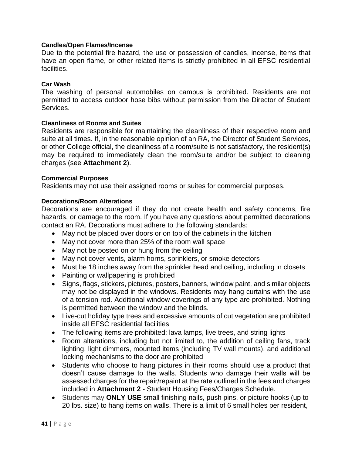#### <span id="page-40-0"></span>**Candles/Open Flames/Incense**

Due to the potential fire hazard, the use or possession of candles, incense, items that have an open flame, or other related items is strictly prohibited in all EFSC residential facilities.

#### <span id="page-40-1"></span>**Car Wash**

The washing of personal automobiles on campus is prohibited. Residents are not permitted to access outdoor hose bibs without permission from the Director of Student Services.

#### <span id="page-40-2"></span>**Cleanliness of Rooms and Suites**

Residents are responsible for maintaining the cleanliness of their respective room and suite at all times. If, in the reasonable opinion of an RA, the Director of Student Services, or other College official, the cleanliness of a room/suite is not satisfactory, the resident(s) may be required to immediately clean the room/suite and/or be subject to cleaning charges (see **Attachment 2**).

#### <span id="page-40-3"></span>**Commercial Purposes**

Residents may not use their assigned rooms or suites for commercial purposes.

#### <span id="page-40-4"></span>**Decorations/Room Alterations**

Decorations are encouraged if they do not create health and safety concerns, fire hazards, or damage to the room. If you have any questions about permitted decorations contact an RA. Decorations must adhere to the following standards:

- May not be placed over doors or on top of the cabinets in the kitchen
- May not cover more than 25% of the room wall space
- May not be posted on or hung from the ceiling
- May not cover vents, alarm horns, sprinklers, or smoke detectors
- Must be 18 inches away from the sprinkler head and ceiling, including in closets
- Painting or wallpapering is prohibited
- Signs, flags, stickers, pictures, posters, banners, window paint, and similar objects may not be displayed in the windows. Residents may hang curtains with the use of a tension rod. Additional window coverings of any type are prohibited. Nothing is permitted between the window and the blinds.
- Live-cut holiday type trees and excessive amounts of cut vegetation are prohibited inside all EFSC residential facilities
- The following items are prohibited: lava lamps, live trees, and string lights
- Room alterations, including but not limited to, the addition of ceiling fans, track lighting, light dimmers, mounted items (including TV wall mounts), and additional locking mechanisms to the door are prohibited
- Students who choose to hang pictures in their rooms should use a product that doesn't cause damage to the walls. Students who damage their walls will be assessed charges for the repair/repaint at the rate outlined in the fees and charges included in **Attachment 2** - Student Housing Fees/Charges Schedule.
- Students may **ONLY USE** small finishing nails, push pins, or picture hooks (up to 20 lbs. size) to hang items on walls. There is a limit of 6 small holes per resident,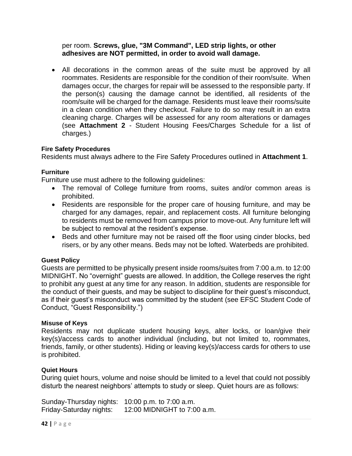per room. **Screws, glue, "3M Command", LED strip lights, or other adhesives are NOT permitted, in order to avoid wall damage.**

• All decorations in the common areas of the suite must be approved by all roommates. Residents are responsible for the condition of their room/suite. When damages occur, the charges for repair will be assessed to the responsible party. If the person(s) causing the damage cannot be identified, all residents of the room/suite will be charged for the damage. Residents must leave their rooms/suite in a clean condition when they checkout. Failure to do so may result in an extra cleaning charge. Charges will be assessed for any room alterations or damages (see **Attachment 2** - Student Housing Fees/Charges Schedule for a list of charges.)

#### <span id="page-41-0"></span>**Fire Safety Procedures**

Residents must always adhere to the Fire Safety Procedures outlined in **Attachment 1**.

#### <span id="page-41-1"></span>**Furniture**

Furniture use must adhere to the following guidelines:

- The removal of College furniture from rooms, suites and/or common areas is prohibited.
- Residents are responsible for the proper care of housing furniture, and may be charged for any damages, repair, and replacement costs. All furniture belonging to residents must be removed from campus prior to move-out. Any furniture left will be subject to removal at the resident's expense.
- Beds and other furniture may not be raised off the floor using cinder blocks, bed risers, or by any other means. Beds may not be lofted. Waterbeds are prohibited.

#### <span id="page-41-2"></span>**Guest Policy**

Guests are permitted to be physically present inside rooms/suites from 7:00 a.m. to 12:00 MIDNIGHT. No "overnight" guests are allowed. In addition, the College reserves the right to prohibit any guest at any time for any reason. In addition, students are responsible for the conduct of their guests, and may be subject to discipline for their guest's misconduct, as if their guest's misconduct was committed by the student (see EFSC Student Code of Conduct, "Guest Responsibility.")

#### <span id="page-41-3"></span>**Misuse of Keys**

Residents may not duplicate student housing keys, alter locks, or loan/give their key(s)/access cards to another individual (including, but not limited to, roommates, friends, family, or other students). Hiding or leaving key(s)/access cards for others to use is prohibited.

#### <span id="page-41-4"></span>**Quiet Hours**

During quiet hours, volume and noise should be limited to a level that could not possibly disturb the nearest neighbors' attempts to study or sleep. Quiet hours are as follows:

Sunday-Thursday nights: 10:00 p.m. to 7:00 a.m. Friday-Saturday nights: 12:00 MIDNIGHT to 7:00 a.m.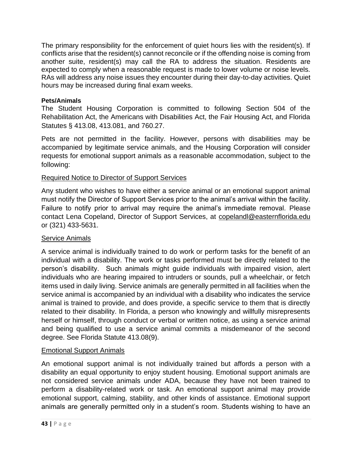The primary responsibility for the enforcement of quiet hours lies with the resident(s). If conflicts arise that the resident(s) cannot reconcile or if the offending noise is coming from another suite, resident(s) may call the RA to address the situation. Residents are expected to comply when a reasonable request is made to lower volume or noise levels. RAs will address any noise issues they encounter during their day-to-day activities. Quiet hours may be increased during final exam weeks.

# <span id="page-42-0"></span>**Pets/Animals**

The Student Housing Corporation is committed to following Section 504 of the Rehabilitation Act, the Americans with Disabilities Act, the Fair Housing Act, and Florida Statutes § 413.08, 413.081, and 760.27.

Pets are not permitted in the facility. However, persons with disabilities may be accompanied by legitimate service animals, and the Housing Corporation will consider requests for emotional support animals as a reasonable accommodation, subject to the following:

# Required Notice to Director of Support Services

Any student who wishes to have either a service animal or an emotional support animal must notify the Director of Support Services prior to the animal's arrival within the facility. Failure to notify prior to arrival may require the animal's immediate removal. Please contact Lena Copeland, Director of Support Services, at [copelandl@easternflorida.edu](mailto:copelandl@easternflorida.edu) or (321) 433-5631.

# Service Animals

A service animal is individually trained to do work or perform tasks for the benefit of an individual with a disability. The work or tasks performed must be directly related to the person's disability. Such animals might guide individuals with impaired vision, alert individuals who are hearing impaired to intruders or sounds, pull a wheelchair, or fetch items used in daily living. Service animals are generally permitted in all facilities when the service animal is accompanied by an individual with a disability who indicates the service animal is trained to provide, and does provide, a specific service to them that is directly related to their disability. In Florida, a person who knowingly and willfully misrepresents herself or himself, through conduct or verbal or written notice, as using a service animal and being qualified to use a service animal commits a misdemeanor of the second degree. See Florida Statute 413.08(9).

# Emotional Support Animals

An emotional support animal is not individually trained but affords a person with a disability an equal opportunity to enjoy student housing. Emotional support animals are not considered service animals under ADA, because they have not been trained to perform a disability-related work or task. An emotional support animal may provide emotional support, calming, stability, and other kinds of assistance. Emotional support animals are generally permitted only in a student's room. Students wishing to have an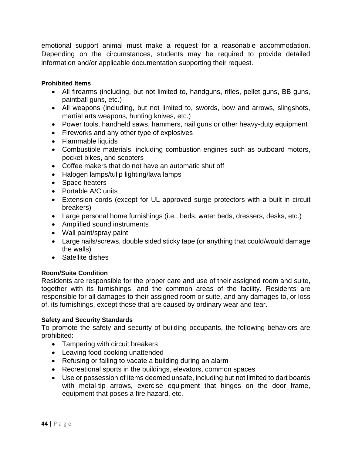emotional support animal must make a request for a reasonable accommodation. Depending on the circumstances, students may be required to provide detailed information and/or applicable documentation supporting their request.

#### <span id="page-43-0"></span>**Prohibited Items**

- All firearms (including, but not limited to, handguns, rifles, pellet guns, BB guns, paintball guns, etc.)
- All weapons (including, but not limited to, swords, bow and arrows, slingshots, martial arts weapons, hunting knives, etc.)
- Power tools, handheld saws, hammers, nail guns or other heavy-duty equipment
- Fireworks and any other type of explosives
- Flammable liquids
- Combustible materials, including combustion engines such as outboard motors, pocket bikes, and scooters
- Coffee makers that do not have an automatic shut off
- Halogen lamps/tulip lighting/lava lamps
- Space heaters
- Portable A/C units
- Extension cords (except for UL approved surge protectors with a built-in circuit breakers)
- Large personal home furnishings (i.e., beds, water beds, dressers, desks, etc.)
- Amplified sound instruments
- Wall paint/spray paint
- Large nails/screws, double sided sticky tape (or anything that could/would damage the walls)
- Satellite dishes

#### <span id="page-43-1"></span>**Room/Suite Condition**

Residents are responsible for the proper care and use of their assigned room and suite, together with its furnishings, and the common areas of the facility. Residents are responsible for all damages to their assigned room or suite, and any damages to, or loss of, its furnishings, except those that are caused by ordinary wear and tear.

#### <span id="page-43-2"></span>**Safety and Security Standards**

To promote the safety and security of building occupants, the following behaviors are prohibited:

- Tampering with circuit breakers
- Leaving food cooking unattended
- Refusing or failing to vacate a building during an alarm
- Recreational sports in the buildings, elevators, common spaces
- Use or possession of items deemed unsafe, including but not limited to dart boards with metal-tip arrows, exercise equipment that hinges on the door frame, equipment that poses a fire hazard, etc.